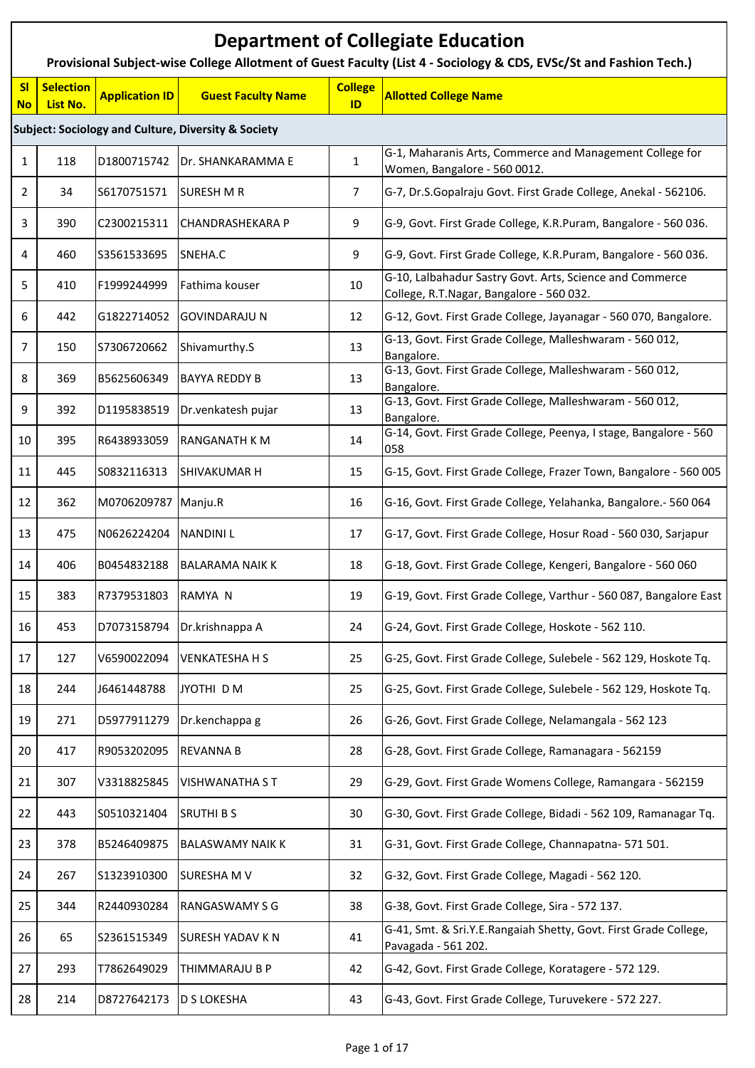|                 | <b>Department of Collegiate Education</b><br>Provisional Subject-wise College Allotment of Guest Faculty (List 4 - Sociology & CDS, EVSc/St and Fashion Tech.) |                       |                                                                |                      |                                                                                                      |  |  |  |  |
|-----------------|----------------------------------------------------------------------------------------------------------------------------------------------------------------|-----------------------|----------------------------------------------------------------|----------------------|------------------------------------------------------------------------------------------------------|--|--|--|--|
| SI<br><b>No</b> | <b>Selection</b><br>List No.                                                                                                                                   | <b>Application ID</b> | <b>Guest Faculty Name</b>                                      | <b>College</b><br>ID | <b>Allotted College Name</b>                                                                         |  |  |  |  |
|                 |                                                                                                                                                                |                       | <b>Subject: Sociology and Culture, Diversity &amp; Society</b> |                      |                                                                                                      |  |  |  |  |
| $\mathbf{1}$    | 118                                                                                                                                                            | D1800715742           | Dr. SHANKARAMMA E                                              | 1                    | G-1, Maharanis Arts, Commerce and Management College for<br>Women, Bangalore - 560 0012.             |  |  |  |  |
| 2               | 34                                                                                                                                                             | S6170751571           | <b>SURESH M R</b>                                              | 7                    | G-7, Dr.S.Gopalraju Govt. First Grade College, Anekal - 562106.                                      |  |  |  |  |
| 3               | 390                                                                                                                                                            | C2300215311           | <b>CHANDRASHEKARA P</b>                                        | 9                    | G-9, Govt. First Grade College, K.R.Puram, Bangalore - 560 036.                                      |  |  |  |  |
| 4               | 460                                                                                                                                                            | S3561533695           | SNEHA.C                                                        | 9                    | G-9, Govt. First Grade College, K.R.Puram, Bangalore - 560 036.                                      |  |  |  |  |
| 5               | 410                                                                                                                                                            | F1999244999           | Fathima kouser                                                 | 10                   | G-10, Lalbahadur Sastry Govt. Arts, Science and Commerce<br>College, R.T.Nagar, Bangalore - 560 032. |  |  |  |  |
| 6               | 442                                                                                                                                                            | G1822714052           | <b>GOVINDARAJU N</b>                                           | 12                   | G-12, Govt. First Grade College, Jayanagar - 560 070, Bangalore.                                     |  |  |  |  |
| $\overline{7}$  | 150                                                                                                                                                            | S7306720662           | Shivamurthy.S                                                  | 13                   | G-13, Govt. First Grade College, Malleshwaram - 560 012,<br>Bangalore.                               |  |  |  |  |
| 8               | 369                                                                                                                                                            | B5625606349           | <b>BAYYA REDDY B</b>                                           | 13                   | G-13, Govt. First Grade College, Malleshwaram - 560 012,<br>Bangalore.                               |  |  |  |  |
| 9               | 392                                                                                                                                                            | D1195838519           | Dr.venkatesh pujar                                             | 13                   | G-13, Govt. First Grade College, Malleshwaram - 560 012,<br>Bangalore.                               |  |  |  |  |
| 10              | 395                                                                                                                                                            | R6438933059           | <b>RANGANATH K M</b>                                           | 14                   | G-14, Govt. First Grade College, Peenya, I stage, Bangalore - 560<br>058                             |  |  |  |  |
| 11              | 445                                                                                                                                                            | S0832116313           | <b>SHIVAKUMAR H</b>                                            | 15                   | G-15, Govt. First Grade College, Frazer Town, Bangalore - 560 005                                    |  |  |  |  |
| 12              | 362                                                                                                                                                            | M0706209787           | Manju.R                                                        | 16                   | G-16, Govt. First Grade College, Yelahanka, Bangalore.- 560 064                                      |  |  |  |  |
| 13              | 475                                                                                                                                                            | N0626224204           | <b>NANDINIL</b>                                                | 17                   | G-17, Govt. First Grade College, Hosur Road - 560 030, Sarjapur                                      |  |  |  |  |
| 14              | 406                                                                                                                                                            | B0454832188           | <b>BALARAMA NAIK K</b>                                         | 18                   | G-18, Govt. First Grade College, Kengeri, Bangalore - 560 060                                        |  |  |  |  |
| 15              | 383                                                                                                                                                            | R7379531803 RAMYA N   |                                                                | 19                   | G-19, Govt. First Grade College, Varthur - 560 087, Bangalore East                                   |  |  |  |  |
| 16              | 453                                                                                                                                                            | D7073158794           | Dr.krishnappa A                                                | 24                   | G-24, Govt. First Grade College, Hoskote - 562 110.                                                  |  |  |  |  |
| 17              | 127                                                                                                                                                            | V6590022094           | <b>VENKATESHA H S</b>                                          | 25                   | G-25, Govt. First Grade College, Sulebele - 562 129, Hoskote Tq.                                     |  |  |  |  |
| 18              | 244                                                                                                                                                            | J6461448788           | JYOTHI D M                                                     | 25                   | G-25, Govt. First Grade College, Sulebele - 562 129, Hoskote Tq.                                     |  |  |  |  |
| 19              | 271                                                                                                                                                            | D5977911279           | Dr.kenchappa g                                                 | 26                   | G-26, Govt. First Grade College, Nelamangala - 562 123                                               |  |  |  |  |
| 20              | 417                                                                                                                                                            | R9053202095           | <b>REVANNA B</b>                                               | 28                   | G-28, Govt. First Grade College, Ramanagara - 562159                                                 |  |  |  |  |
| 21              | 307                                                                                                                                                            | V3318825845           | VISHWANATHA S T                                                | 29                   | G-29, Govt. First Grade Womens College, Ramangara - 562159                                           |  |  |  |  |
| 22              | 443                                                                                                                                                            | S0510321404           | <b>SRUTHI BS</b>                                               | 30                   | G-30, Govt. First Grade College, Bidadi - 562 109, Ramanagar Tq.                                     |  |  |  |  |
| 23              | 378                                                                                                                                                            | B5246409875           | <b>BALASWAMY NAIK K</b>                                        | 31                   | G-31, Govt. First Grade College, Channapatna- 571 501.                                               |  |  |  |  |
| 24              | 267                                                                                                                                                            | S1323910300           | <b>SURESHAM V</b>                                              | 32                   | G-32, Govt. First Grade College, Magadi - 562 120.                                                   |  |  |  |  |
| 25              | 344                                                                                                                                                            | R2440930284           | RANGASWAMY S G                                                 | 38                   | G-38, Govt. First Grade College, Sira - 572 137.                                                     |  |  |  |  |
| 26              | 65                                                                                                                                                             | S2361515349           | <b>SURESH YADAV K N</b>                                        | 41                   | G-41, Smt. & Sri.Y.E.Rangaiah Shetty, Govt. First Grade College,<br>Pavagada - 561 202.              |  |  |  |  |
| 27              | 293                                                                                                                                                            | T7862649029           | THIMMARAJU B P                                                 | 42                   | G-42, Govt. First Grade College, Koratagere - 572 129.                                               |  |  |  |  |
| 28              | 214                                                                                                                                                            | D8727642173           | <b>D S LOKESHA</b>                                             | 43                   | G-43, Govt. First Grade College, Turuvekere - 572 227.                                               |  |  |  |  |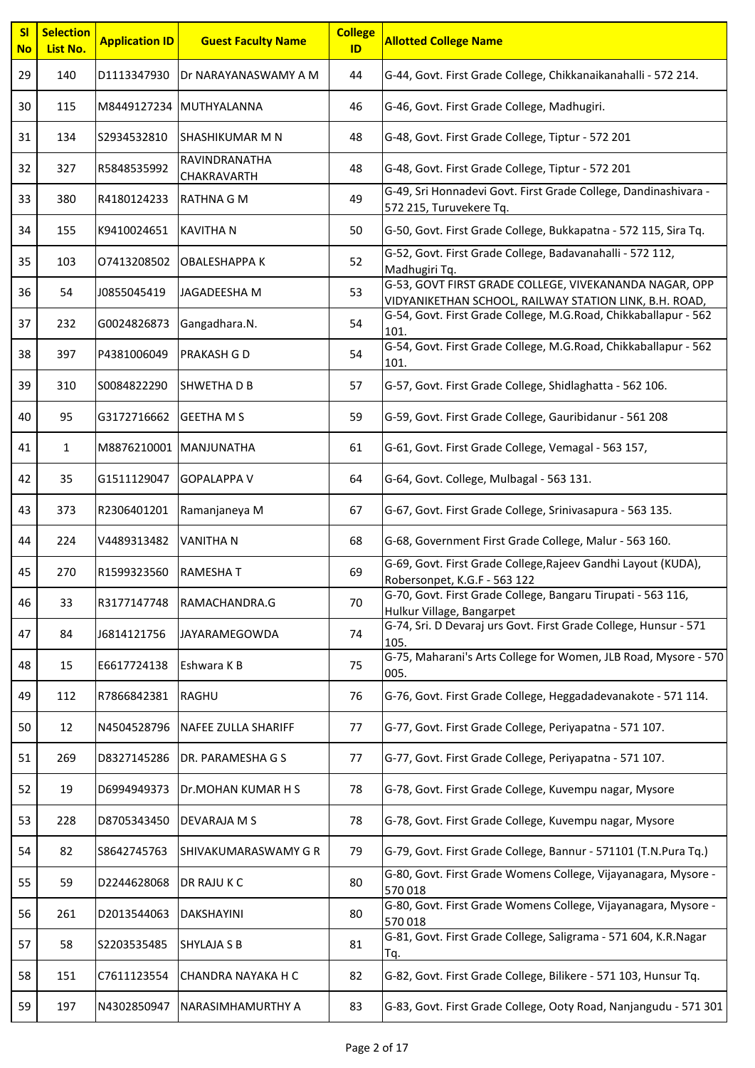| SI<br><b>No</b> | <b>Selection</b><br>List No. | <b>Application ID</b>  | <b>Guest Faculty Name</b>    | <b>College</b><br>ID | <b>Allotted College Name</b>                                                                                     |
|-----------------|------------------------------|------------------------|------------------------------|----------------------|------------------------------------------------------------------------------------------------------------------|
| 29              | 140                          | D1113347930            | Dr NARAYANASWAMY A M         | 44                   | G-44, Govt. First Grade College, Chikkanaikanahalli - 572 214.                                                   |
| 30              | 115                          |                        | M8449127234 MUTHYALANNA      | 46                   | G-46, Govt. First Grade College, Madhugiri.                                                                      |
| 31              | 134                          | S2934532810            | <b>SHASHIKUMAR M N</b>       | 48                   | G-48, Govt. First Grade College, Tiptur - 572 201                                                                |
| 32              | 327                          | R5848535992            | RAVINDRANATHA<br>CHAKRAVARTH | 48                   | G-48, Govt. First Grade College, Tiptur - 572 201                                                                |
| 33              | 380                          | R4180124233            | <b>RATHNA G M</b>            | 49                   | G-49, Sri Honnadevi Govt. First Grade College, Dandinashivara -<br>572 215, Turuvekere Tq.                       |
| 34              | 155                          | K9410024651            | <b>KAVITHA N</b>             | 50                   | G-50, Govt. First Grade College, Bukkapatna - 572 115, Sira Tq.                                                  |
| 35              | 103                          | 07413208502            | <b>OBALESHAPPA K</b>         | 52                   | G-52, Govt. First Grade College, Badavanahalli - 572 112,<br>Madhugiri Tq.                                       |
| 36              | 54                           | J0855045419            | JAGADEESHA M                 | 53                   | G-53, GOVT FIRST GRADE COLLEGE, VIVEKANANDA NAGAR, OPP<br>VIDYANIKETHAN SCHOOL, RAILWAY STATION LINK, B.H. ROAD, |
| 37              | 232                          | G0024826873            | Gangadhara.N.                | 54                   | G-54, Govt. First Grade College, M.G.Road, Chikkaballapur - 562<br>101.                                          |
| 38              | 397                          | P4381006049            | PRAKASH G D                  | 54                   | G-54, Govt. First Grade College, M.G.Road, Chikkaballapur - 562<br>101.                                          |
| 39              | 310                          | S0084822290            | <b>SHWETHADB</b>             | 57                   | G-57, Govt. First Grade College, Shidlaghatta - 562 106.                                                         |
| 40              | 95                           | G3172716662            | <b>GEETHA M S</b>            | 59                   | G-59, Govt. First Grade College, Gauribidanur - 561 208                                                          |
| 41              | $\mathbf{1}$                 | M8876210001 MANJUNATHA |                              | 61                   | G-61, Govt. First Grade College, Vemagal - 563 157,                                                              |
| 42              | 35                           | G1511129047            | <b>GOPALAPPA V</b>           | 64                   | G-64, Govt. College, Mulbagal - 563 131.                                                                         |
| 43              | 373                          | R2306401201            | Ramanjaneya M                | 67                   | G-67, Govt. First Grade College, Srinivasapura - 563 135.                                                        |
| 44              | 224                          | V4489313482            | <b>VANITHAN</b>              | 68                   | G-68, Government First Grade College, Malur - 563 160.                                                           |
| 45              | 270                          | R1599323560            | <b>RAMESHAT</b>              | 69                   | G-69, Govt. First Grade College, Rajeev Gandhi Layout (KUDA),<br>Robersonpet, K.G.F - 563 122                    |
| 46              | 33                           | R3177147748            | RAMACHANDRA.G                | 70                   | G-70, Govt. First Grade College, Bangaru Tirupati - 563 116,<br>Hulkur Village, Bangarpet                        |
| 47              | 84                           | J6814121756            | JAYARAMEGOWDA                | 74                   | G-74, Sri. D Devaraj urs Govt. First Grade College, Hunsur - 571<br>105.                                         |
| 48              | 15                           | E6617724138            | Eshwara K B                  | 75                   | G-75, Maharani's Arts College for Women, JLB Road, Mysore - 570<br>005.                                          |
| 49              | 112                          | R7866842381            | RAGHU                        | 76                   | G-76, Govt. First Grade College, Heggadadevanakote - 571 114.                                                    |
| 50              | 12                           | N4504528796            | NAFEE ZULLA SHARIFF          | 77                   | G-77, Govt. First Grade College, Periyapatna - 571 107.                                                          |
| 51              | 269                          | D8327145286            | DR. PARAMESHA G S            | 77                   | G-77, Govt. First Grade College, Periyapatna - 571 107.                                                          |
| 52              | 19                           | D6994949373            | Dr.MOHAN KUMAR H S           | 78                   | G-78, Govt. First Grade College, Kuvempu nagar, Mysore                                                           |
| 53              | 228                          | D8705343450            | DEVARAJA M S                 | 78                   | G-78, Govt. First Grade College, Kuvempu nagar, Mysore                                                           |
| 54              | 82                           | S8642745763            | SHIVAKUMARASWAMY G R         | 79                   | G-79, Govt. First Grade College, Bannur - 571101 (T.N.Pura Tq.)                                                  |
| 55              | 59                           | D2244628068            | DR RAJU K C                  | 80                   | G-80, Govt. First Grade Womens College, Vijayanagara, Mysore -<br>570018                                         |
| 56              | 261                          | D2013544063            | DAKSHAYINI                   | 80                   | G-80, Govt. First Grade Womens College, Vijayanagara, Mysore -<br>570018                                         |
| 57              | 58                           | S2203535485            | SHYLAJA S B                  | 81                   | G-81, Govt. First Grade College, Saligrama - 571 604, K.R.Nagar<br>Tq.                                           |
| 58              | 151                          | C7611123554            | CHANDRA NAYAKA H C           | 82                   | G-82, Govt. First Grade College, Bilikere - 571 103, Hunsur Tq.                                                  |
| 59              | 197                          | N4302850947            | NARASIMHAMURTHY A            | 83                   | G-83, Govt. First Grade College, Ooty Road, Nanjangudu - 571 301                                                 |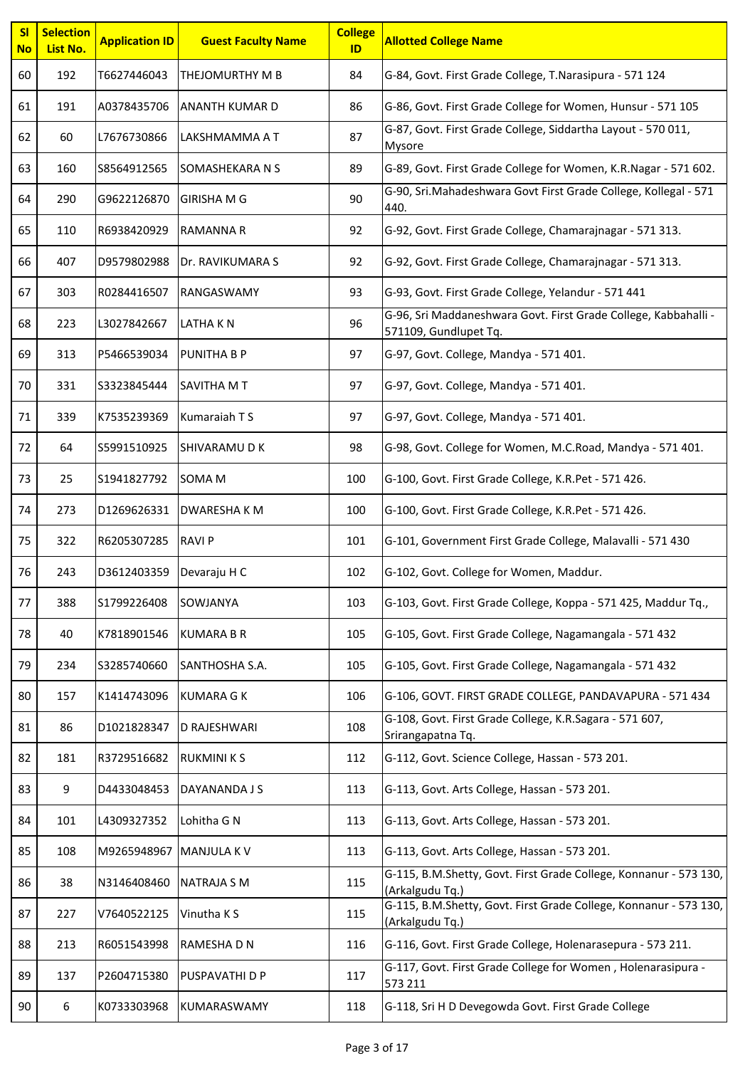| SI<br><b>No</b> | <b>Selection</b><br>List No. | <b>Application ID</b> | <b>Guest Faculty Name</b> | <b>College</b><br>ID | <b>Allotted College Name</b>                                                             |
|-----------------|------------------------------|-----------------------|---------------------------|----------------------|------------------------------------------------------------------------------------------|
| 60              | 192                          | T6627446043           | THEJOMURTHY M B           | 84                   | G-84, Govt. First Grade College, T.Narasipura - 571 124                                  |
| 61              | 191                          | A0378435706           | <b>ANANTH KUMAR D</b>     | 86                   | G-86, Govt. First Grade College for Women, Hunsur - 571 105                              |
| 62              | 60                           | L7676730866           | LAKSHMAMMA A T            | 87                   | G-87, Govt. First Grade College, Siddartha Layout - 570 011,<br>Mysore                   |
| 63              | 160                          | S8564912565           | SOMASHEKARA N S           | 89                   | G-89, Govt. First Grade College for Women, K.R.Nagar - 571 602.                          |
| 64              | 290                          | G9622126870           | <b>GIRISHA M G</b>        | 90                   | G-90, Sri.Mahadeshwara Govt First Grade College, Kollegal - 571<br>440.                  |
| 65              | 110                          | R6938420929           | <b>RAMANNA R</b>          | 92                   | G-92, Govt. First Grade College, Chamarajnagar - 571 313.                                |
| 66              | 407                          | D9579802988           | Dr. RAVIKUMARA S          | 92                   | G-92, Govt. First Grade College, Chamarajnagar - 571 313.                                |
| 67              | 303                          | R0284416507           | RANGASWAMY                | 93                   | G-93, Govt. First Grade College, Yelandur - 571 441                                      |
| 68              | 223                          | L3027842667           | LATHA KN                  | 96                   | G-96, Sri Maddaneshwara Govt. First Grade College, Kabbahalli -<br>571109, Gundlupet Tq. |
| 69              | 313                          | P5466539034           | <b>PUNITHA B P</b>        | 97                   | G-97, Govt. College, Mandya - 571 401.                                                   |
| 70              | 331                          | S3323845444           | SAVITHA M T               | 97                   | G-97, Govt. College, Mandya - 571 401.                                                   |
| 71              | 339                          | K7535239369           | Kumaraiah T S             | 97                   | G-97, Govt. College, Mandya - 571 401.                                                   |
| 72              | 64                           | S5991510925           | <b>SHIVARAMUDK</b>        | 98                   | G-98, Govt. College for Women, M.C.Road, Mandya - 571 401.                               |
| 73              | 25                           | S1941827792           | <b>SOMA M</b>             | 100                  | G-100, Govt. First Grade College, K.R.Pet - 571 426.                                     |
| 74              | 273                          | D1269626331           | <b>DWARESHAKM</b>         | 100                  | G-100, Govt. First Grade College, K.R.Pet - 571 426.                                     |
| 75              | 322                          | R6205307285           | <b>RAVI P</b>             | 101                  | G-101, Government First Grade College, Malavalli - 571 430                               |
| 76              | 243                          | D3612403359           | Devaraju H C              | 102                  | G-102, Govt. College for Women, Maddur.                                                  |
| 77              | 388                          | S1799226408           | SOWJANYA                  | 103                  | G-103, Govt. First Grade College, Koppa - 571 425, Maddur Tq.,                           |
| 78              | 40                           | K7818901546           | <b>KUMARA B R</b>         | 105                  | G-105, Govt. First Grade College, Nagamangala - 571 432                                  |
| 79              | 234                          | S3285740660           | SANTHOSHA S.A.            | 105                  | G-105, Govt. First Grade College, Nagamangala - 571 432                                  |
| 80              | 157                          | K1414743096           | <b>KUMARA G K</b>         | 106                  | G-106, GOVT. FIRST GRADE COLLEGE, PANDAVAPURA - 571 434                                  |
| 81              | 86                           | D1021828347           | D RAJESHWARI              | 108                  | G-108, Govt. First Grade College, K.R.Sagara - 571 607,<br>Srirangapatna Tq.             |
| 82              | 181                          | R3729516682           | <b>RUKMINIKS</b>          | 112                  | G-112, Govt. Science College, Hassan - 573 201.                                          |
| 83              | 9                            | D4433048453           | DAYANANDA J S             | 113                  | G-113, Govt. Arts College, Hassan - 573 201.                                             |
| 84              | 101                          | L4309327352           | Lohitha G N               | 113                  | G-113, Govt. Arts College, Hassan - 573 201.                                             |
| 85              | 108                          | M9265948967           | <b>MANJULA KV</b>         | 113                  | G-113, Govt. Arts College, Hassan - 573 201.                                             |
| 86              | 38                           | N3146408460           | <b>NATRAJA S M</b>        | 115                  | G-115, B.M.Shetty, Govt. First Grade College, Konnanur - 573 130,<br>(Arkalgudu Tq.)     |
| 87              | 227                          | V7640522125           | Vinutha K S               | 115                  | G-115, B.M.Shetty, Govt. First Grade College, Konnanur - 573 130,<br>(Arkalgudu Tq.)     |
| 88              | 213                          | R6051543998           | RAMESHA D N               | 116                  | G-116, Govt. First Grade College, Holenarasepura - 573 211.                              |
| 89              | 137                          | P2604715380           | PUSPAVATHI D P            | 117                  | G-117, Govt. First Grade College for Women, Holenarasipura -<br>573 211                  |
| 90              | 6                            | K0733303968           | KUMARASWAMY               | 118                  | G-118, Sri H D Devegowda Govt. First Grade College                                       |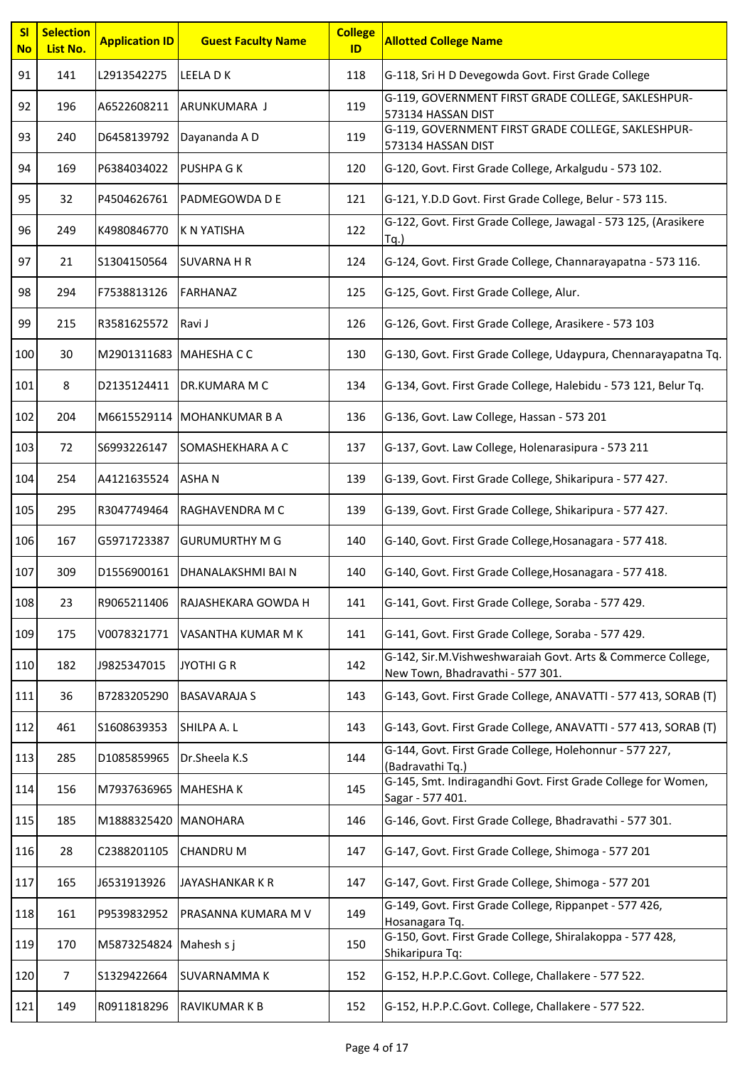| SI<br><b>No</b> | <b>Selection</b><br>List No. | <b>Application ID</b>  | <b>Guest Faculty Name</b>  | <b>College</b><br>ID | <b>Allotted College Name</b>                                                                    |
|-----------------|------------------------------|------------------------|----------------------------|----------------------|-------------------------------------------------------------------------------------------------|
| 91              | 141                          | L2913542275            | LEELA D K                  | 118                  | G-118, Sri H D Devegowda Govt. First Grade College                                              |
| 92              | 196                          | A6522608211            | ARUNKUMARA J               | 119                  | G-119, GOVERNMENT FIRST GRADE COLLEGE, SAKLESHPUR-<br>573134 HASSAN DIST                        |
| 93              | 240                          | D6458139792            | Dayananda A D              | 119                  | G-119, GOVERNMENT FIRST GRADE COLLEGE, SAKLESHPUR-<br>573134 HASSAN DIST                        |
| 94              | 169                          | P6384034022            | <b>PUSHPA G K</b>          | 120                  | G-120, Govt. First Grade College, Arkalgudu - 573 102.                                          |
| 95              | 32                           | P4504626761            | PADMEGOWDA D E             | 121                  | G-121, Y.D.D Govt. First Grade College, Belur - 573 115.                                        |
| 96              | 249                          | K4980846770            | <b>K N YATISHA</b>         | 122                  | G-122, Govt. First Grade College, Jawagal - 573 125, (Arasikere<br>$Tq.$ )                      |
| 97              | 21                           | S1304150564            | <b>SUVARNA H R</b>         | 124                  | G-124, Govt. First Grade College, Channarayapatna - 573 116.                                    |
| 98              | 294                          | F7538813126            | <b>FARHANAZ</b>            | 125                  | G-125, Govt. First Grade College, Alur.                                                         |
| 99              | 215                          | R3581625572            | Ravi J                     | 126                  | G-126, Govt. First Grade College, Arasikere - 573 103                                           |
| 100             | 30                           | M2901311683 MAHESHA CC |                            | 130                  | G-130, Govt. First Grade College, Udaypura, Chennarayapatna Tq.                                 |
| 101             | 8                            | D2135124411            | <b>DR.KUMARA M C</b>       | 134                  | G-134, Govt. First Grade College, Halebidu - 573 121, Belur Tq.                                 |
| 102             | 204                          |                        | M6615529114 MOHANKUMAR B A | 136                  | G-136, Govt. Law College, Hassan - 573 201                                                      |
| 103             | 72                           | S6993226147            | SOMASHEKHARA A C           | 137                  | G-137, Govt. Law College, Holenarasipura - 573 211                                              |
| 104             | 254                          | A4121635524            | <b>ASHAN</b>               | 139                  | G-139, Govt. First Grade College, Shikaripura - 577 427.                                        |
| 105             | 295                          | R3047749464            | RAGHAVENDRA M C            | 139                  | G-139, Govt. First Grade College, Shikaripura - 577 427.                                        |
| 106             | 167                          | G5971723387            | <b>GURUMURTHY M G</b>      | 140                  | G-140, Govt. First Grade College, Hosanagara - 577 418.                                         |
| 107             | 309                          | D1556900161            | DHANALAKSHMI BAI N         | 140                  | G-140, Govt. First Grade College, Hosanagara - 577 418.                                         |
| 108             | 23                           | R9065211406            | RAJASHEKARA GOWDA H        | 141                  | G-141, Govt. First Grade College, Soraba - 577 429.                                             |
| 109             | 175                          | V0078321771            | VASANTHA KUMAR M K         | 141                  | G-141, Govt. First Grade College, Soraba - 577 429.                                             |
| 110             | 182                          | J9825347015            | <b>JYOTHI G R</b>          | 142                  | G-142, Sir.M.Vishweshwaraiah Govt. Arts & Commerce College,<br>New Town, Bhadravathi - 577 301. |
| 111             | 36                           | B7283205290            | <b>BASAVARAJA S</b>        | 143                  | G-143, Govt. First Grade College, ANAVATTI - 577 413, SORAB (T)                                 |
| 112             | 461                          | S1608639353            | SHILPA A.L                 | 143                  | G-143, Govt. First Grade College, ANAVATTI - 577 413, SORAB (T)                                 |
| 113             | 285                          | D1085859965            | Dr.Sheela K.S              | 144                  | G-144, Govt. First Grade College, Holehonnur - 577 227,<br>(Badravathi Tq.)                     |
| 114             | 156                          | M7937636965 MAHESHAK   |                            | 145                  | G-145, Smt. Indiragandhi Govt. First Grade College for Women,<br>Sagar - 577 401.               |
| 115             | 185                          | M1888325420   MANOHARA |                            | 146                  | G-146, Govt. First Grade College, Bhadravathi - 577 301.                                        |
| 116             | 28                           | C2388201105            | <b>CHANDRU M</b>           | 147                  | G-147, Govt. First Grade College, Shimoga - 577 201                                             |
| 117             | 165                          | J6531913926            | <b>JAYASHANKAR K R</b>     | 147                  | G-147, Govt. First Grade College, Shimoga - 577 201                                             |
| 118             | 161                          | P9539832952            | PRASANNA KUMARA M V        | 149                  | G-149, Govt. First Grade College, Rippanpet - 577 426,<br>Hosanagara Tq.                        |
| 119             | 170                          | M5873254824            | Mahesh s j                 | 150                  | G-150, Govt. First Grade College, Shiralakoppa - 577 428,<br>Shikaripura Tq:                    |
| 120             | $\overline{7}$               | S1329422664            | SUVARNAMMA K               | 152                  | G-152, H.P.P.C.Govt. College, Challakere - 577 522.                                             |
| 121             | 149                          | R0911818296            | RAVIKUMAR K B              | 152                  | G-152, H.P.P.C.Govt. College, Challakere - 577 522.                                             |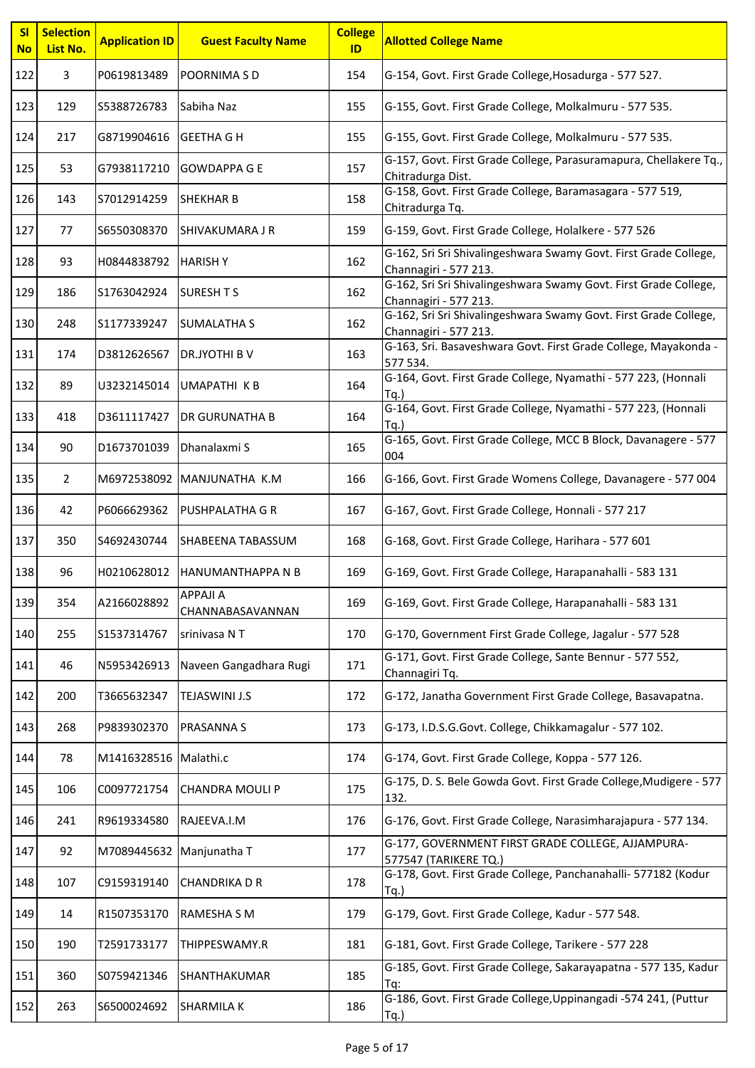| <b>SI</b><br><b>No</b> | <b>Selection</b><br>List No. | <b>Application ID</b> | <b>Guest Faculty Name</b>           | <b>College</b><br>ID | <b>Allotted College Name</b>                                                              |
|------------------------|------------------------------|-----------------------|-------------------------------------|----------------------|-------------------------------------------------------------------------------------------|
| 122                    | 3                            | P0619813489           | <b>POORNIMA S D</b>                 | 154                  | G-154, Govt. First Grade College, Hosadurga - 577 527.                                    |
| 123                    | 129                          | S5388726783           | Sabiha Naz                          | 155                  | G-155, Govt. First Grade College, Molkalmuru - 577 535.                                   |
| 124                    | 217                          | G8719904616           | <b>GEETHA G H</b>                   | 155                  | G-155, Govt. First Grade College, Molkalmuru - 577 535.                                   |
| 125                    | 53                           | G7938117210           | <b>GOWDAPPA G E</b>                 | 157                  | G-157, Govt. First Grade College, Parasuramapura, Chellakere Tq.,<br>Chitradurga Dist.    |
| 126                    | 143                          | S7012914259           | <b>SHEKHAR B</b>                    | 158                  | G-158, Govt. First Grade College, Baramasagara - 577 519,<br>Chitradurga Tq.              |
| 127                    | 77                           | \$6550308370          | <b>SHIVAKUMARA J R</b>              | 159                  | G-159, Govt. First Grade College, Holalkere - 577 526                                     |
| 128                    | 93                           | H0844838792           | <b>HARISHY</b>                      | 162                  | G-162, Sri Sri Shivalingeshwara Swamy Govt. First Grade College,<br>Channagiri - 577 213. |
| 129                    | 186                          | S1763042924           | <b>SURESH T S</b>                   | 162                  | G-162, Sri Sri Shivalingeshwara Swamy Govt. First Grade College,<br>Channagiri - 577 213. |
| 130                    | 248                          | S1177339247           | <b>SUMALATHA S</b>                  | 162                  | G-162, Sri Sri Shivalingeshwara Swamy Govt. First Grade College,<br>Channagiri - 577 213. |
| 131                    | 174                          | D3812626567           | DR.JYOTHI B V                       | 163                  | G-163, Sri. Basaveshwara Govt. First Grade College, Mayakonda -<br>577 534.               |
| 132                    | 89                           | U3232145014           | <b>UMAPATHI KB</b>                  | 164                  | G-164, Govt. First Grade College, Nyamathi - 577 223, (Honnali<br>Ta.                     |
| 133                    | 418                          | D3611117427           | <b>DR GURUNATHA B</b>               | 164                  | G-164, Govt. First Grade College, Nyamathi - 577 223, (Honnali<br>Tq.                     |
| 134                    | 90                           | D1673701039           | Dhanalaxmi S                        | 165                  | G-165, Govt. First Grade College, MCC B Block, Davanagere - 577<br>004                    |
| 135                    | $\overline{2}$               |                       | M6972538092 MANJUNATHA K.M          | 166                  | G-166, Govt. First Grade Womens College, Davanagere - 577 004                             |
| 136                    | 42                           | P6066629362           | <b>PUSHPALATHA G R</b>              | 167                  | G-167, Govt. First Grade College, Honnali - 577 217                                       |
| 137                    | 350                          | S4692430744           | <b>SHABEENA TABASSUM</b>            | 168                  | G-168, Govt. First Grade College, Harihara - 577 601                                      |
| 138                    | 96                           | H0210628012           | <b>HANUMANTHAPPA N B</b>            | 169                  | G-169, Govt. First Grade College, Harapanahalli - 583 131                                 |
| 139                    | 354                          | A2166028892           | <b>APPAJI A</b><br>CHANNABASAVANNAN | 169                  | G-169, Govt. First Grade College, Harapanahalli - 583 131                                 |
| 140                    | 255                          | S1537314767           | srinivasa NT                        | 170                  | G-170, Government First Grade College, Jagalur - 577 528                                  |
| 141                    | 46                           | N5953426913           | Naveen Gangadhara Rugi              | 171                  | G-171, Govt. First Grade College, Sante Bennur - 577 552,<br>Channagiri Tq.               |
| 142                    | 200                          | T3665632347           | <b>TEJASWINI J.S</b>                | 172                  | G-172, Janatha Government First Grade College, Basavapatna.                               |
| 143                    | 268                          | P9839302370           | <b>PRASANNA S</b>                   | 173                  | G-173, I.D.S.G.Govt. College, Chikkamagalur - 577 102.                                    |
| 144                    | 78                           | M1416328516 Malathi.c |                                     | 174                  | G-174, Govt. First Grade College, Koppa - 577 126.                                        |
| 145                    | 106                          | C0097721754           | <b>CHANDRA MOULI P</b>              | 175                  | G-175, D. S. Bele Gowda Govt. First Grade College, Mudigere - 577<br>132.                 |
| 146                    | 241                          | R9619334580           | RAJEEVA.I.M                         | 176                  | G-176, Govt. First Grade College, Narasimharajapura - 577 134.                            |
| 147                    | 92                           | M7089445632           | Manjunatha T                        | 177                  | G-177, GOVERNMENT FIRST GRADE COLLEGE, AJJAMPURA-<br>577547 (TARIKERE TQ.)                |
| 148                    | 107                          | C9159319140           | <b>CHANDRIKA D R</b>                | 178                  | G-178, Govt. First Grade College, Panchanahalli- 577182 (Kodur<br>$Tq.$ )                 |
| 149                    | 14                           | R1507353170           | <b>RAMESHA S M</b>                  | 179                  | G-179, Govt. First Grade College, Kadur - 577 548.                                        |
| 150                    | 190                          | T2591733177           | THIPPESWAMY.R                       | 181                  | G-181, Govt. First Grade College, Tarikere - 577 228                                      |
| 151                    | 360                          | S0759421346           | SHANTHAKUMAR                        | 185                  | G-185, Govt. First Grade College, Sakarayapatna - 577 135, Kadur<br>Tq:                   |
| 152                    | 263                          | S6500024692           | <b>SHARMILA K</b>                   | 186                  | G-186, Govt. First Grade College, Uppinangadi -574 241, (Puttur<br>Tq.                    |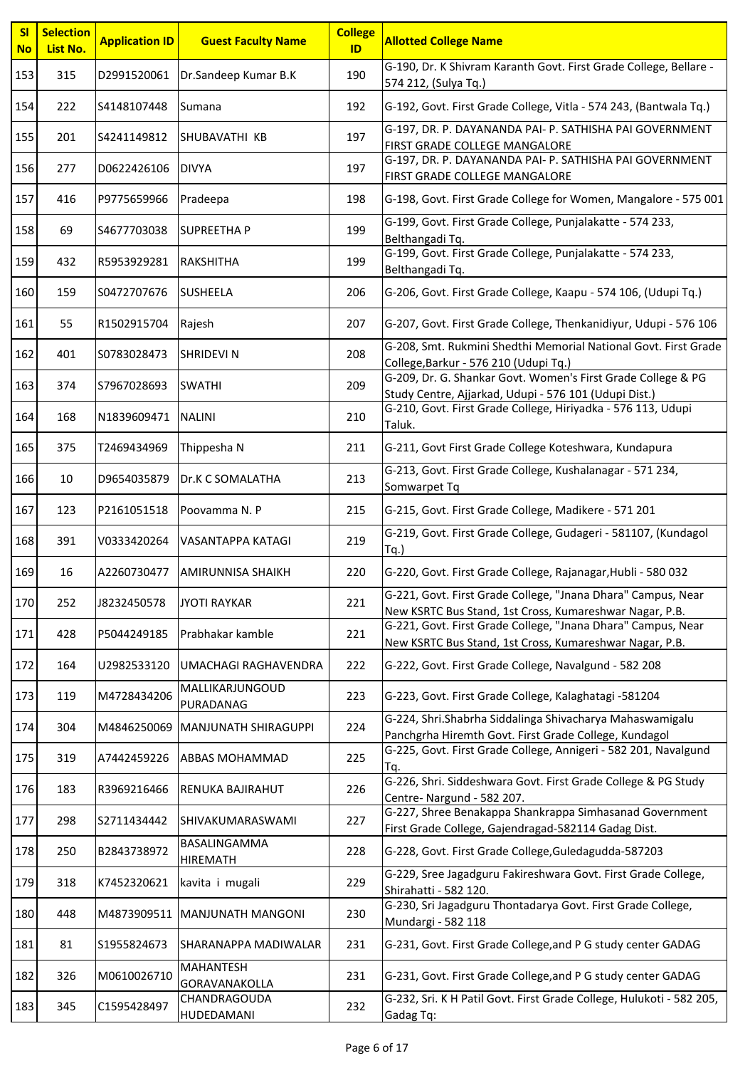| SI<br><b>No</b> | <b>Selection</b><br>List No. | <b>Application ID</b> | <b>Guest Faculty Name</b>         | <b>College</b><br>ID | <b>Allotted College Name</b>                                                                                            |
|-----------------|------------------------------|-----------------------|-----------------------------------|----------------------|-------------------------------------------------------------------------------------------------------------------------|
| 153             | 315                          | D2991520061           | Dr.Sandeep Kumar B.K              | 190                  | G-190, Dr. K Shivram Karanth Govt. First Grade College, Bellare -<br>574 212, (Sulya Tq.)                               |
| 154             | 222                          | S4148107448           | Sumana                            | 192                  | G-192, Govt. First Grade College, Vitla - 574 243, (Bantwala Tq.)                                                       |
| 155             | 201                          | S4241149812           | <b>SHUBAVATHI KB</b>              | 197                  | G-197, DR. P. DAYANANDA PAI- P. SATHISHA PAI GOVERNMENT<br>FIRST GRADE COLLEGE MANGALORE                                |
| 156             | 277                          | D0622426106           | <b>DIVYA</b>                      | 197                  | G-197, DR. P. DAYANANDA PAI- P. SATHISHA PAI GOVERNMENT<br>FIRST GRADE COLLEGE MANGALORE                                |
| 157             | 416                          | P9775659966           | Pradeepa                          | 198                  | G-198, Govt. First Grade College for Women, Mangalore - 575 001                                                         |
| 158             | 69                           | S4677703038           | <b>SUPREETHA P</b>                | 199                  | G-199, Govt. First Grade College, Punjalakatte - 574 233,<br>Belthangadi Tq.                                            |
| 159             | 432                          | R5953929281           | <b>RAKSHITHA</b>                  | 199                  | G-199, Govt. First Grade College, Punjalakatte - 574 233,<br>Belthangadi Tq.                                            |
| 160             | 159                          | S0472707676           | <b>SUSHEELA</b>                   | 206                  | G-206, Govt. First Grade College, Kaapu - 574 106, (Udupi Tq.)                                                          |
| 161             | 55                           | R1502915704           | Rajesh                            | 207                  | G-207, Govt. First Grade College, Thenkanidiyur, Udupi - 576 106                                                        |
| 162             | 401                          | S0783028473           | <b>SHRIDEVI N</b>                 | 208                  | G-208, Smt. Rukmini Shedthi Memorial National Govt. First Grade<br>College, Barkur - 576 210 (Udupi Tq.)                |
| 163             | 374                          | S7967028693           | <b>SWATHI</b>                     | 209                  | G-209, Dr. G. Shankar Govt. Women's First Grade College & PG<br>Study Centre, Ajjarkad, Udupi - 576 101 (Udupi Dist.)   |
| 164             | 168                          | N1839609471           | <b>NALINI</b>                     | 210                  | G-210, Govt. First Grade College, Hiriyadka - 576 113, Udupi<br>Taluk.                                                  |
| 165             | 375                          | T2469434969           | Thippesha N                       | 211                  | G-211, Govt First Grade College Koteshwara, Kundapura                                                                   |
| 166             | 10                           | D9654035879           | Dr.K C SOMALATHA                  | 213                  | G-213, Govt. First Grade College, Kushalanagar - 571 234,<br>Somwarpet Tq                                               |
| 167             | 123                          | P2161051518           | Poovamma N. P                     | 215                  | G-215, Govt. First Grade College, Madikere - 571 201                                                                    |
| 168             | 391                          | V0333420264           | <b>VASANTAPPA KATAGI</b>          | 219                  | G-219, Govt. First Grade College, Gudageri - 581107, (Kundagol<br>$Tq.$ )                                               |
| 169             | 16                           | A2260730477           | <b>AMIRUNNISA SHAIKH</b>          | 220                  | G-220, Govt. First Grade College, Rajanagar, Hubli - 580 032                                                            |
| 170             | 252                          | J8232450578           | <b>JYOTI RAYKAR</b>               | 221                  | G-221, Govt. First Grade College, "Jnana Dhara" Campus, Near<br>New KSRTC Bus Stand, 1st Cross, Kumareshwar Nagar, P.B. |
| 171             | 428                          | P5044249185           | Prabhakar kamble                  | 221                  | G-221, Govt. First Grade College, "Jnana Dhara" Campus, Near<br>New KSRTC Bus Stand, 1st Cross, Kumareshwar Nagar, P.B. |
| 172             | 164                          | U2982533120           | UMACHAGI RAGHAVENDRA              | 222                  | G-222, Govt. First Grade College, Navalgund - 582 208                                                                   |
| 173             | 119                          | M4728434206           | MALLIKARJUNGOUD<br>PURADANAG      | 223                  | G-223, Govt. First Grade College, Kalaghatagi -581204                                                                   |
| 174             | 304                          | M4846250069           | MANJUNATH SHIRAGUPPI              | 224                  | G-224, Shri.Shabrha Siddalinga Shivacharya Mahaswamigalu<br>Panchgrha Hiremth Govt. First Grade College, Kundagol       |
| 175             | 319                          | A7442459226           | <b>ABBAS MOHAMMAD</b>             | 225                  | G-225, Govt. First Grade College, Annigeri - 582 201, Navalgund<br>Tq.                                                  |
| 176             | 183                          | R3969216466           | <b>RENUKA BAJIRAHUT</b>           | 226                  | G-226, Shri. Siddeshwara Govt. First Grade College & PG Study<br>Centre-Nargund - 582 207.                              |
| 177             | 298                          | S2711434442           | <b>SHIVAKUMARASWAMI</b>           | 227                  | G-227, Shree Benakappa Shankrappa Simhasanad Government<br>First Grade College, Gajendragad-582114 Gadag Dist.          |
| 178             | 250                          | B2843738972           | BASALINGAMMA<br>HIREMATH          | 228                  | G-228, Govt. First Grade College, Guledagudda-587203                                                                    |
| 179             | 318                          | K7452320621           | kavita i mugali                   | 229                  | G-229, Sree Jagadguru Fakireshwara Govt. First Grade College,<br>Shirahatti - 582 120.                                  |
| 180             | 448                          | M4873909511           | <b>MANJUNATH MANGONI</b>          | 230                  | G-230, Sri Jagadguru Thontadarya Govt. First Grade College,<br>Mundargi - 582 118                                       |
| 181             | 81                           | S1955824673           | SHARANAPPA MADIWALAR              | 231                  | G-231, Govt. First Grade College, and P G study center GADAG                                                            |
| 182             | 326                          | M0610026710           | <b>MAHANTESH</b><br>GORAVANAKOLLA | 231                  | G-231, Govt. First Grade College, and P G study center GADAG                                                            |
| 183             | 345                          | C1595428497           | CHANDRAGOUDA<br>HUDEDAMANI        | 232                  | G-232, Sri. K H Patil Govt. First Grade College, Hulukoti - 582 205,<br>Gadag Tq:                                       |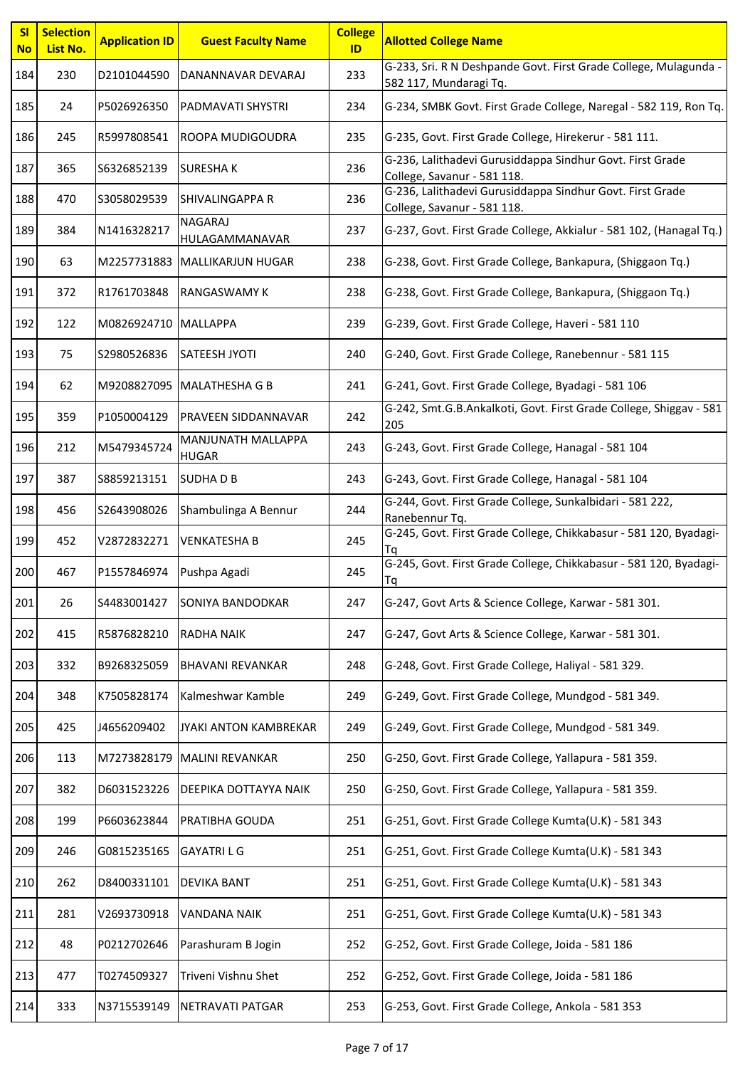| SI<br><b>No</b> | <b>Selection</b><br>List No. | <b>Application ID</b> | <b>Guest Faculty Name</b>          | <b>College</b><br>ID | <b>Allotted College Name</b>                                                               |
|-----------------|------------------------------|-----------------------|------------------------------------|----------------------|--------------------------------------------------------------------------------------------|
| 184             | 230                          | D2101044590           | DANANNAVAR DEVARAJ                 | 233                  | G-233, Sri. R N Deshpande Govt. First Grade College, Mulagunda -<br>582 117, Mundaragi Tq. |
| 185             | 24                           | P5026926350           | <b>PADMAVATI SHYSTRI</b>           | 234                  | G-234, SMBK Govt. First Grade College, Naregal - 582 119, Ron Tq.                          |
| 186             | 245                          | R5997808541           | ROOPA MUDIGOUDRA                   | 235                  | G-235, Govt. First Grade College, Hirekerur - 581 111.                                     |
| 187             | 365                          | \$6326852139          | <b>SURESHAK</b>                    | 236                  | G-236, Lalithadevi Gurusiddappa Sindhur Govt. First Grade<br>College, Savanur - 581 118.   |
| 188             | 470                          | S3058029539           | <b>SHIVALINGAPPA R</b>             | 236                  | G-236, Lalithadevi Gurusiddappa Sindhur Govt. First Grade<br>College, Savanur - 581 118.   |
| 189             | 384                          | N1416328217           | <b>NAGARAJ</b><br>HULAGAMMANAVAR   | 237                  | G-237, Govt. First Grade College, Akkialur - 581 102, (Hanagal Tq.)                        |
| 190             | 63                           |                       | M2257731883 MALLIKARJUN HUGAR      | 238                  | G-238, Govt. First Grade College, Bankapura, (Shiggaon Tq.)                                |
| 191             | 372                          | R1761703848           | <b>RANGASWAMY K</b>                | 238                  | G-238, Govt. First Grade College, Bankapura, (Shiggaon Tq.)                                |
| 192             | 122                          | M0826924710 MALLAPPA  |                                    | 239                  | G-239, Govt. First Grade College, Haveri - 581 110                                         |
| 193             | 75                           | S2980526836           | <b>SATEESH JYOTI</b>               | 240                  | G-240, Govt. First Grade College, Ranebennur - 581 115                                     |
| 194             | 62                           |                       | M9208827095 MALATHESHA G B         | 241                  | G-241, Govt. First Grade College, Byadagi - 581 106                                        |
| 195             | 359                          | P1050004129           | <b>PRAVEEN SIDDANNAVAR</b>         | 242                  | G-242, Smt.G.B.Ankalkoti, Govt. First Grade College, Shiggav - 581<br>205                  |
| 196             | 212                          | M5479345724           | MANJUNATH MALLAPPA<br><b>HUGAR</b> | 243                  | G-243, Govt. First Grade College, Hanagal - 581 104                                        |
| 197             | 387                          | S8859213151           | <b>SUDHADB</b>                     | 243                  | G-243, Govt. First Grade College, Hanagal - 581 104                                        |
| 198             | 456                          | S2643908026           | Shambulinga A Bennur               | 244                  | G-244, Govt. First Grade College, Sunkalbidari - 581 222,<br>Ranebennur Tq.                |
| 199             | 452                          | V2872832271           | <b>VENKATESHA B</b>                | 245                  | G-245, Govt. First Grade College, Chikkabasur - 581 120, Byadagi-<br>Τq                    |
| 200             | 467                          | P1557846974           | Pushpa Agadi                       | 245                  | G-245, Govt. First Grade College, Chikkabasur - 581 120, Byadagi-<br>Tq                    |
| 201             | 26                           | S4483001427           | SONIYA BANDODKAR                   | 247                  | G-247, Govt Arts & Science College, Karwar - 581 301.                                      |
| 202             | 415                          | R5876828210           | <b>RADHA NAIK</b>                  | 247                  | G-247, Govt Arts & Science College, Karwar - 581 301.                                      |
| 203             | 332                          | B9268325059           | <b>BHAVANI REVANKAR</b>            | 248                  | G-248, Govt. First Grade College, Haliyal - 581 329.                                       |
| 204             | 348                          | K7505828174           | Kalmeshwar Kamble                  | 249                  | G-249, Govt. First Grade College, Mundgod - 581 349.                                       |
| 205             | 425                          | J4656209402           | JYAKI ANTON KAMBREKAR              | 249                  | G-249, Govt. First Grade College, Mundgod - 581 349.                                       |
| 206             | 113                          | M7273828179           | MALINI REVANKAR                    | 250                  | G-250, Govt. First Grade College, Yallapura - 581 359.                                     |
| 207             | 382                          | D6031523226           | DEEPIKA DOTTAYYA NAIK              | 250                  | G-250, Govt. First Grade College, Yallapura - 581 359.                                     |
| 208             | 199                          | P6603623844           | PRATIBHA GOUDA                     | 251                  | G-251, Govt. First Grade College Kumta(U.K) - 581 343                                      |
| 209             | 246                          | G0815235165           | <b>GAYATRILG</b>                   | 251                  | G-251, Govt. First Grade College Kumta(U.K) - 581 343                                      |
| 210             | 262                          | D8400331101           | DEVIKA BANT                        | 251                  | G-251, Govt. First Grade College Kumta(U.K) - 581 343                                      |
| 211             | 281                          | V2693730918           | VANDANA NAIK                       | 251                  | G-251, Govt. First Grade College Kumta(U.K) - 581 343                                      |
| 212             | 48                           | P0212702646           | Parashuram B Jogin                 | 252                  | G-252, Govt. First Grade College, Joida - 581 186                                          |
| 213             | 477                          | T0274509327           | Triveni Vishnu Shet                | 252                  | G-252, Govt. First Grade College, Joida - 581 186                                          |
| 214             | 333                          | N3715539149           | NETRAVATI PATGAR                   | 253                  | G-253, Govt. First Grade College, Ankola - 581 353                                         |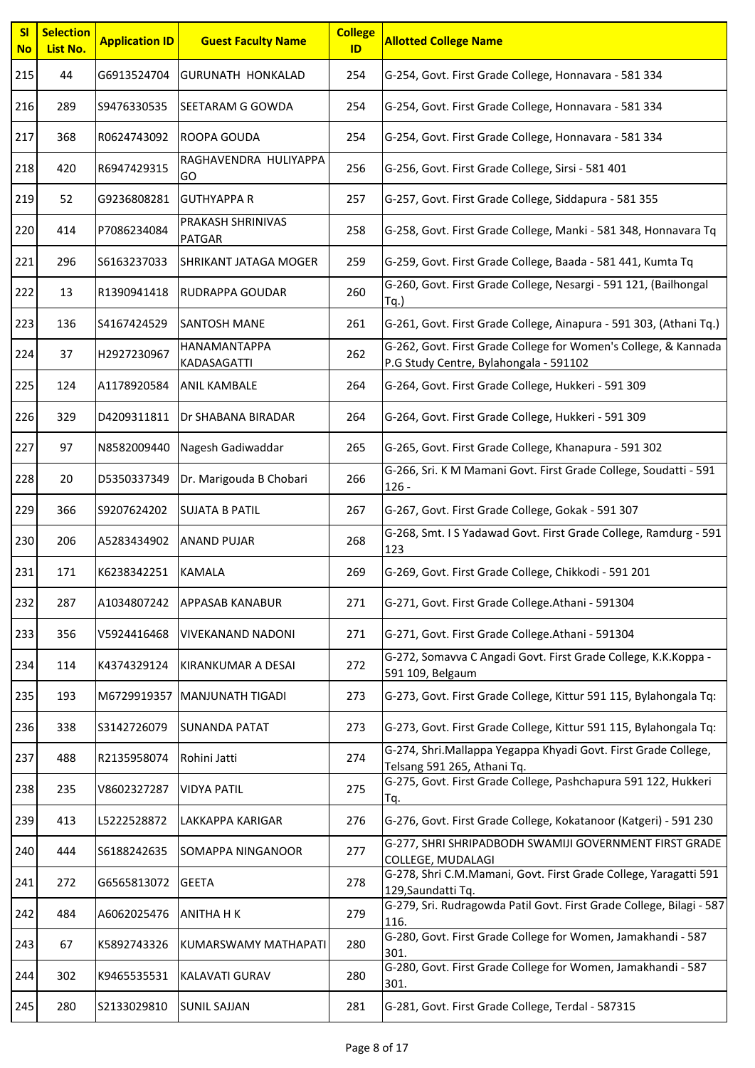| SI<br><b>No</b> | <b>Selection</b><br>List No. | <b>Application ID</b> | <b>Guest Faculty Name</b>          | <b>College</b><br>ID | <b>Allotted College Name</b>                                                                              |
|-----------------|------------------------------|-----------------------|------------------------------------|----------------------|-----------------------------------------------------------------------------------------------------------|
| 215             | 44                           | G6913524704           | <b>GURUNATH HONKALAD</b>           | 254                  | G-254, Govt. First Grade College, Honnavara - 581 334                                                     |
| 216             | 289                          | S9476330535           | <b>SEETARAM G GOWDA</b>            | 254                  | G-254, Govt. First Grade College, Honnavara - 581 334                                                     |
| 217             | 368                          | R0624743092           | ROOPA GOUDA                        | 254                  | G-254, Govt. First Grade College, Honnavara - 581 334                                                     |
| 218             | 420                          | R6947429315           | RAGHAVENDRA HULIYAPPA<br>GO        | 256                  | G-256, Govt. First Grade College, Sirsi - 581 401                                                         |
| 219             | 52                           | G9236808281           | <b>GUTHYAPPA R</b>                 | 257                  | G-257, Govt. First Grade College, Siddapura - 581 355                                                     |
| 220             | 414                          | P7086234084           | PRAKASH SHRINIVAS<br><b>PATGAR</b> | 258                  | G-258, Govt. First Grade College, Manki - 581 348, Honnavara Tq                                           |
| 221             | 296                          | S6163237033           | SHRIKANT JATAGA MOGER              | 259                  | G-259, Govt. First Grade College, Baada - 581 441, Kumta Tq                                               |
| 222             | 13                           | R1390941418           | <b>RUDRAPPA GOUDAR</b>             | 260                  | G-260, Govt. First Grade College, Nesargi - 591 121, (Bailhongal<br>$Tq.$ )                               |
| 223             | 136                          | S4167424529           | <b>SANTOSH MANE</b>                | 261                  | G-261, Govt. First Grade College, Ainapura - 591 303, (Athani Tq.)                                        |
| 224             | 37                           | H2927230967           | HANAMANTAPPA<br>KADASAGATTI        | 262                  | G-262, Govt. First Grade College for Women's College, & Kannada<br>P.G Study Centre, Bylahongala - 591102 |
| 225             | 124                          | A1178920584           | <b>ANIL KAMBALE</b>                | 264                  | G-264, Govt. First Grade College, Hukkeri - 591 309                                                       |
| 226             | 329                          | D4209311811           | Dr SHABANA BIRADAR                 | 264                  | G-264, Govt. First Grade College, Hukkeri - 591 309                                                       |
| 227             | 97                           | N8582009440           | Nagesh Gadiwaddar                  | 265                  | G-265, Govt. First Grade College, Khanapura - 591 302                                                     |
| 228             | 20                           | D5350337349           | Dr. Marigouda B Chobari            | 266                  | G-266, Sri. K M Mamani Govt. First Grade College, Soudatti - 591<br>$126 -$                               |
| 229             | 366                          | S9207624202           | <b>SUJATA B PATIL</b>              | 267                  | G-267, Govt. First Grade College, Gokak - 591 307                                                         |
| 230             | 206                          | A5283434902           | <b>ANAND PUJAR</b>                 | 268                  | G-268, Smt. I S Yadawad Govt. First Grade College, Ramdurg - 591<br>123                                   |
| 231             | 171                          | K6238342251           | <b>KAMALA</b>                      | 269                  | G-269, Govt. First Grade College, Chikkodi - 591 201                                                      |
| 232             | 287                          | A1034807242           | <b>APPASAB KANABUR</b>             | 271                  | G-271, Govt. First Grade College.Athani - 591304                                                          |
| 233             | 356                          | V5924416468           | <b>VIVEKANAND NADONI</b>           | 271                  | G-271, Govt. First Grade College.Athani - 591304                                                          |
| 234             | 114                          | K4374329124           | KIRANKUMAR A DESAI                 | 272                  | G-272, Somavva C Angadi Govt. First Grade College, K.K.Koppa -<br>591 109, Belgaum                        |
| 235             | 193                          | M6729919357           | MANJUNATH TIGADI                   | 273                  | G-273, Govt. First Grade College, Kittur 591 115, Bylahongala Tq:                                         |
| 236             | 338                          | S3142726079           | <b>SUNANDA PATAT</b>               | 273                  | G-273, Govt. First Grade College, Kittur 591 115, Bylahongala Tq:                                         |
| 237             | 488                          | R2135958074           | Rohini Jatti                       | 274                  | G-274, Shri.Mallappa Yegappa Khyadi Govt. First Grade College,<br>Telsang 591 265, Athani Tq.             |
| 238             | 235                          | V8602327287           | <b>VIDYA PATIL</b>                 | 275                  | G-275, Govt. First Grade College, Pashchapura 591 122, Hukkeri<br>Tq.                                     |
| 239             | 413                          | L5222528872           | LAKKAPPA KARIGAR                   | 276                  | G-276, Govt. First Grade College, Kokatanoor (Katgeri) - 591 230                                          |
| 240             | 444                          | S6188242635           | SOMAPPA NINGANOOR                  | 277                  | G-277, SHRI SHRIPADBODH SWAMIJI GOVERNMENT FIRST GRADE<br>COLLEGE, MUDALAGI                               |
| 241             | 272                          | G6565813072           | <b>GEETA</b>                       | 278                  | G-278, Shri C.M.Mamani, Govt. First Grade College, Yaragatti 591<br>129, Saundatti Tq.                    |
| 242             | 484                          | A6062025476           | <b>ANITHA H K</b>                  | 279                  | G-279, Sri. Rudragowda Patil Govt. First Grade College, Bilagi - 587<br>116.                              |
| 243             | 67                           | K5892743326           | KUMARSWAMY MATHAPATI               | 280                  | G-280, Govt. First Grade College for Women, Jamakhandi - 587<br>301.                                      |
| 244             | 302                          | K9465535531           | <b>KALAVATI GURAV</b>              | 280                  | G-280, Govt. First Grade College for Women, Jamakhandi - 587<br>301.                                      |
| 245             | 280                          | S2133029810           | <b>SUNIL SAJJAN</b>                | 281                  | G-281, Govt. First Grade College, Terdal - 587315                                                         |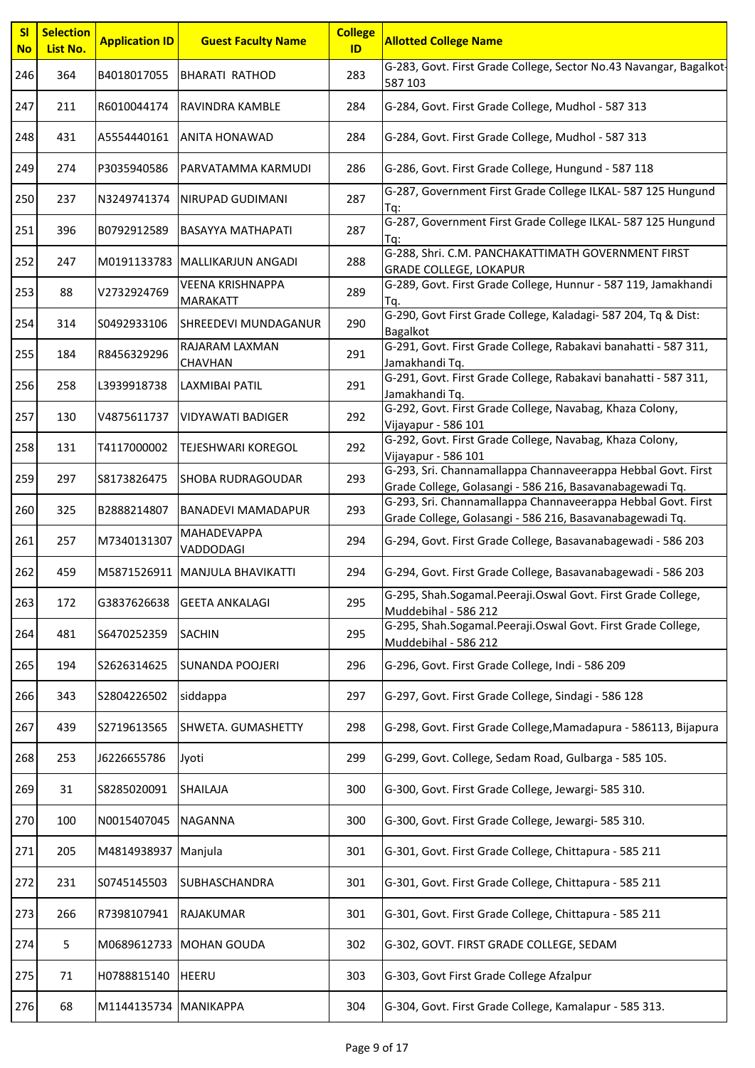| SI<br><b>No</b> | <b>Selection</b><br>List No. | <b>Application ID</b> | <b>Guest Faculty Name</b>                  | <b>College</b><br>ID | <b>Allotted College Name</b>                                                                                             |
|-----------------|------------------------------|-----------------------|--------------------------------------------|----------------------|--------------------------------------------------------------------------------------------------------------------------|
| 246             | 364                          | B4018017055           | <b>BHARATI RATHOD</b>                      | 283                  | G-283, Govt. First Grade College, Sector No.43 Navangar, Bagalkot-<br>587 103                                            |
| 247             | 211                          | R6010044174           | RAVINDRA KAMBLE                            | 284                  | G-284, Govt. First Grade College, Mudhol - 587 313                                                                       |
| 248             | 431                          | A5554440161           | <b>ANITA HONAWAD</b>                       | 284                  | G-284, Govt. First Grade College, Mudhol - 587 313                                                                       |
| 249             | 274                          | P3035940586           | PARVATAMMA KARMUDI                         | 286                  | G-286, Govt. First Grade College, Hungund - 587 118                                                                      |
| 250             | 237                          | N3249741374           | NIRUPAD GUDIMANI                           | 287                  | G-287, Government First Grade College ILKAL- 587 125 Hungund<br>Tq:                                                      |
| 251             | 396                          | B0792912589           | <b>BASAYYA MATHAPATI</b>                   | 287                  | G-287, Government First Grade College ILKAL-587 125 Hungund<br>Ta:                                                       |
| 252             | 247                          |                       | M0191133783   MALLIKARJUN ANGADI           | 288                  | G-288, Shri. C.M. PANCHAKATTIMATH GOVERNMENT FIRST<br><b>GRADE COLLEGE, LOKAPUR</b>                                      |
| 253             | 88                           | V2732924769           | <b>VEENA KRISHNAPPA</b><br><b>MARAKATT</b> | 289                  | G-289, Govt. First Grade College, Hunnur - 587 119, Jamakhandi<br>Tq.                                                    |
| 254             | 314                          | S0492933106           | <b>SHREEDEVI MUNDAGANUR</b>                | 290                  | G-290, Govt First Grade College, Kaladagi- 587 204, Tq & Dist:<br><b>Bagalkot</b>                                        |
| 255             | 184                          | R8456329296           | RAJARAM LAXMAN<br>CHAVHAN                  | 291                  | G-291, Govt. First Grade College, Rabakavi banahatti - 587 311,<br>Jamakhandi Tq.                                        |
| 256             | 258                          | L3939918738           | <b>LAXMIBAI PATIL</b>                      | 291                  | G-291, Govt. First Grade College, Rabakavi banahatti - 587 311,<br>Jamakhandi Tq.                                        |
| 257             | 130                          | V4875611737           | <b>VIDYAWATI BADIGER</b>                   | 292                  | G-292, Govt. First Grade College, Navabag, Khaza Colony,<br>Vijayapur - 586 101                                          |
| 258             | 131                          | T4117000002           | TEJESHWARI KOREGOL                         | 292                  | G-292, Govt. First Grade College, Navabag, Khaza Colony,<br>Vijayapur - 586 101                                          |
| 259             | 297                          | S8173826475           | <b>SHOBA RUDRAGOUDAR</b>                   | 293                  | G-293, Sri. Channamallappa Channaveerappa Hebbal Govt. First<br>Grade College, Golasangi - 586 216, Basavanabagewadi Tq. |
| 260             | 325                          | B2888214807           | <b>BANADEVI MAMADAPUR</b>                  | 293                  | G-293, Sri. Channamallappa Channaveerappa Hebbal Govt. First<br>Grade College, Golasangi - 586 216, Basavanabagewadi Tq. |
| 261             | 257                          | M7340131307           | MAHADEVAPPA<br>VADDODAGI                   | 294                  | G-294, Govt. First Grade College, Basavanabagewadi - 586 203                                                             |
| 262             | 459                          |                       | M5871526911 MANJULA BHAVIKATTI             | 294                  | G-294, Govt. First Grade College, Basavanabagewadi - 586 203                                                             |
| 263             | 172                          | G3837626638           | <b>GEETA ANKALAGI</b>                      | 295                  | G-295, Shah.Sogamal.Peeraji.Oswal Govt. First Grade College,<br>Muddebihal - 586 212                                     |
| 264             | 481                          | S6470252359           | <b>SACHIN</b>                              | 295                  | G-295, Shah.Sogamal.Peeraji.Oswal Govt. First Grade College,<br>Muddebihal - 586 212                                     |
| 265             | 194                          | S2626314625           | <b>SUNANDA POOJERI</b>                     | 296                  | G-296, Govt. First Grade College, Indi - 586 209                                                                         |
| 266             | 343                          | S2804226502           | siddappa                                   | 297                  | G-297, Govt. First Grade College, Sindagi - 586 128                                                                      |
| 267             | 439                          | S2719613565           | SHWETA. GUMASHETTY                         | 298                  | G-298, Govt. First Grade College, Mamadapura - 586113, Bijapura                                                          |
| 268             | 253                          | J6226655786           | Jyoti                                      | 299                  | G-299, Govt. College, Sedam Road, Gulbarga - 585 105.                                                                    |
| 269             | 31                           | S8285020091           | SHAILAJA                                   | 300                  | G-300, Govt. First Grade College, Jewargi- 585 310.                                                                      |
| 270             | 100                          | N0015407045           | <b>NAGANNA</b>                             | 300                  | G-300, Govt. First Grade College, Jewargi- 585 310.                                                                      |
| 271             | 205                          | M4814938937           | Manjula                                    | 301                  | G-301, Govt. First Grade College, Chittapura - 585 211                                                                   |
| 272             | 231                          | S0745145503           | <b>SUBHASCHANDRA</b>                       | 301                  | G-301, Govt. First Grade College, Chittapura - 585 211                                                                   |
| 273             | 266                          | R7398107941           | RAJAKUMAR                                  | 301                  | G-301, Govt. First Grade College, Chittapura - 585 211                                                                   |
| 274             | 5                            | M0689612733           | <b>MOHAN GOUDA</b>                         | 302                  | G-302, GOVT. FIRST GRADE COLLEGE, SEDAM                                                                                  |
| 275             | 71                           | H0788815140           | <b>HEERU</b>                               | 303                  | G-303, Govt First Grade College Afzalpur                                                                                 |
| 276             | 68                           | M1144135734           | <b>MANIKAPPA</b>                           | 304                  | G-304, Govt. First Grade College, Kamalapur - 585 313.                                                                   |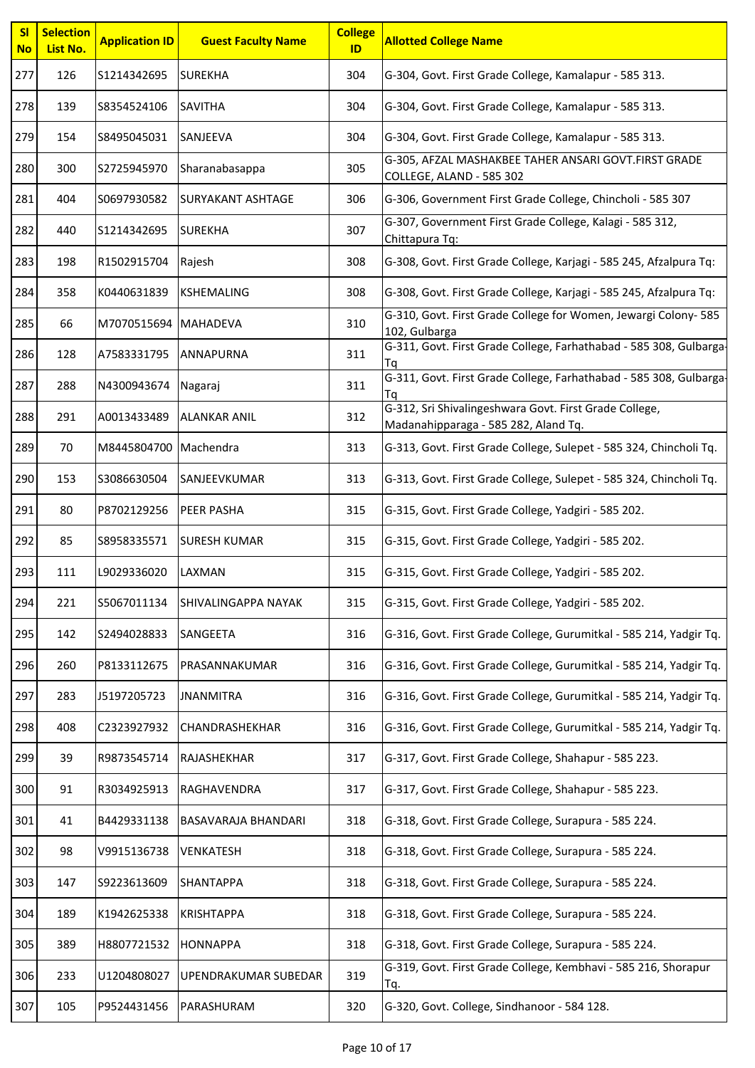| SI<br><b>No</b> | <b>Selection</b><br>List No. | <b>Application ID</b> | <b>Guest Faculty Name</b>  | <b>College</b><br>ID | <b>Allotted College Name</b>                                                                   |
|-----------------|------------------------------|-----------------------|----------------------------|----------------------|------------------------------------------------------------------------------------------------|
| 277             | 126                          | S1214342695           | <b>SUREKHA</b>             | 304                  | G-304, Govt. First Grade College, Kamalapur - 585 313.                                         |
| 278             | 139                          | S8354524106           | <b>SAVITHA</b>             | 304                  | G-304, Govt. First Grade College, Kamalapur - 585 313.                                         |
| 279             | 154                          | S8495045031           | SANJEEVA                   | 304                  | G-304, Govt. First Grade College, Kamalapur - 585 313.                                         |
| 280             | 300                          | S2725945970           | Sharanabasappa             | 305                  | G-305, AFZAL MASHAKBEE TAHER ANSARI GOVT.FIRST GRADE<br>COLLEGE, ALAND - 585 302               |
| 281             | 404                          | S0697930582           | <b>SURYAKANT ASHTAGE</b>   | 306                  | G-306, Government First Grade College, Chincholi - 585 307                                     |
| 282             | 440                          | S1214342695           | <b>SUREKHA</b>             | 307                  | G-307, Government First Grade College, Kalagi - 585 312,<br>Chittapura Tq:                     |
| 283             | 198                          | R1502915704           | Rajesh                     | 308                  | G-308, Govt. First Grade College, Karjagi - 585 245, Afzalpura Tq:                             |
| 284             | 358                          | K0440631839           | <b>KSHEMALING</b>          | 308                  | G-308, Govt. First Grade College, Karjagi - 585 245, Afzalpura Tq:                             |
| 285             | 66                           | M7070515694 MAHADEVA  |                            | 310                  | G-310, Govt. First Grade College for Women, Jewargi Colony- 585<br>102, Gulbarga               |
| 286             | 128                          | A7583331795           | <b>ANNAPURNA</b>           | 311                  | G-311, Govt. First Grade College, Farhathabad - 585 308, Gulbarga-<br>Ta                       |
| 287             | 288                          | N4300943674           | Nagaraj                    | 311                  | G-311, Govt. First Grade College, Farhathabad - 585 308, Gulbarga-<br>Τq                       |
| 288             | 291                          | A0013433489           | <b>ALANKAR ANIL</b>        | 312                  | G-312, Sri Shivalingeshwara Govt. First Grade College,<br>Madanahipparaga - 585 282, Aland Tq. |
| 289             | 70                           | M8445804700 Machendra |                            | 313                  | G-313, Govt. First Grade College, Sulepet - 585 324, Chincholi Tq.                             |
| 290             | 153                          | S3086630504           | SANJEEVKUMAR               | 313                  | G-313, Govt. First Grade College, Sulepet - 585 324, Chincholi Tq.                             |
| 291             | 80                           | P8702129256           | <b>PEER PASHA</b>          | 315                  | G-315, Govt. First Grade College, Yadgiri - 585 202.                                           |
| 292             | 85                           | S8958335571           | <b>SURESH KUMAR</b>        | 315                  | G-315, Govt. First Grade College, Yadgiri - 585 202.                                           |
| 293             | 111                          | L9029336020           | LAXMAN                     | 315                  | G-315, Govt. First Grade College, Yadgiri - 585 202.                                           |
| 294             | 221                          | S5067011134           | SHIVALINGAPPA NAYAK        | 315                  | G-315, Govt. First Grade College, Yadgiri - 585 202.                                           |
| 295             | 142                          | S2494028833           | SANGEETA                   | 316                  | G-316, Govt. First Grade College, Gurumitkal - 585 214, Yadgir Tq.                             |
| 296             | 260                          | P8133112675           | PRASANNAKUMAR              | 316                  | G-316, Govt. First Grade College, Gurumitkal - 585 214, Yadgir Tq.                             |
| 297             | 283                          | J5197205723           | <b>JNANMITRA</b>           | 316                  | G-316, Govt. First Grade College, Gurumitkal - 585 214, Yadgir Tq.                             |
| 298             | 408                          | C2323927932           | CHANDRASHEKHAR             | 316                  | G-316, Govt. First Grade College, Gurumitkal - 585 214, Yadgir Tq.                             |
| 299             | 39                           | R9873545714           | RAJASHEKHAR                | 317                  | G-317, Govt. First Grade College, Shahapur - 585 223.                                          |
| 300             | 91                           | R3034925913           | RAGHAVENDRA                | 317                  | G-317, Govt. First Grade College, Shahapur - 585 223.                                          |
| 301             | 41                           | B4429331138           | <b>BASAVARAJA BHANDARI</b> | 318                  | G-318, Govt. First Grade College, Surapura - 585 224.                                          |
| 302             | 98                           | V9915136738           | <b>VENKATESH</b>           | 318                  | G-318, Govt. First Grade College, Surapura - 585 224.                                          |
| 303             | 147                          | S9223613609           | <b>SHANTAPPA</b>           | 318                  | G-318, Govt. First Grade College, Surapura - 585 224.                                          |
| 304             | 189                          | K1942625338           | <b>KRISHTAPPA</b>          | 318                  | G-318, Govt. First Grade College, Surapura - 585 224.                                          |
| 305             | 389                          | H8807721532           | <b>HONNAPPA</b>            | 318                  | G-318, Govt. First Grade College, Surapura - 585 224.                                          |
| 306             | 233                          | U1204808027           | UPENDRAKUMAR SUBEDAR       | 319                  | G-319, Govt. First Grade College, Kembhavi - 585 216, Shorapur<br>Tq.                          |
| 307             | 105                          | P9524431456           | PARASHURAM                 | 320                  | G-320, Govt. College, Sindhanoor - 584 128.                                                    |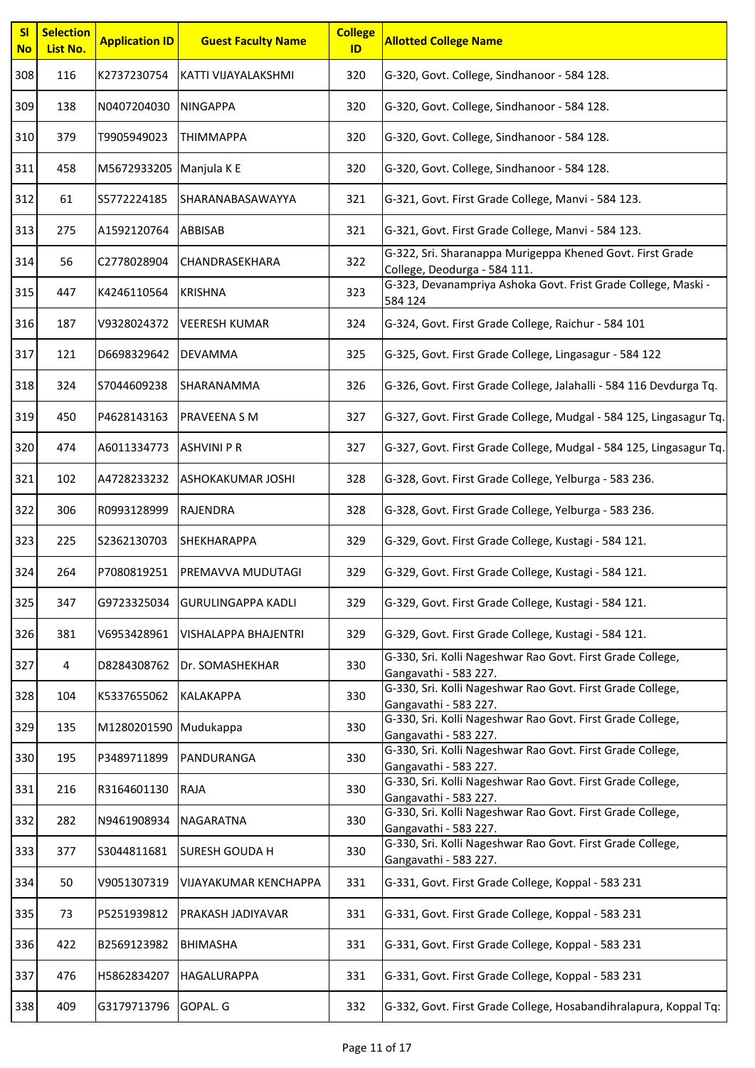| <b>SI</b><br><b>No</b> | <b>Selection</b><br>List No. | <b>Application ID</b>   | <b>Guest Faculty Name</b>    | <b>College</b><br>ID | <b>Allotted College Name</b>                                                              |
|------------------------|------------------------------|-------------------------|------------------------------|----------------------|-------------------------------------------------------------------------------------------|
| 308                    | 116                          | K2737230754             | KATTI VIJAYALAKSHMI          | 320                  | G-320, Govt. College, Sindhanoor - 584 128.                                               |
| 309                    | 138                          | N0407204030             | <b>NINGAPPA</b>              | 320                  | G-320, Govt. College, Sindhanoor - 584 128.                                               |
| 310                    | 379                          | T9905949023             | <b>THIMMAPPA</b>             | 320                  | G-320, Govt. College, Sindhanoor - 584 128.                                               |
| 311                    | 458                          | M5672933205 Manjula K E |                              | 320                  | G-320, Govt. College, Sindhanoor - 584 128.                                               |
| 312                    | 61                           | S5772224185             | SHARANABASAWAYYA             | 321                  | G-321, Govt. First Grade College, Manvi - 584 123.                                        |
| 313                    | 275                          | A1592120764             | <b>ABBISAB</b>               | 321                  | G-321, Govt. First Grade College, Manvi - 584 123.                                        |
| 314                    | 56                           | C2778028904             | CHANDRASEKHARA               | 322                  | G-322, Sri. Sharanappa Murigeppa Khened Govt. First Grade<br>College, Deodurga - 584 111. |
| 315                    | 447                          | K4246110564             | <b>KRISHNA</b>               | 323                  | G-323, Devanampriya Ashoka Govt. Frist Grade College, Maski -<br>584 124                  |
| 316                    | 187                          | V9328024372             | <b>VEERESH KUMAR</b>         | 324                  | G-324, Govt. First Grade College, Raichur - 584 101                                       |
| 317                    | 121                          | D6698329642             | <b>DEVAMMA</b>               | 325                  | G-325, Govt. First Grade College, Lingasagur - 584 122                                    |
| 318                    | 324                          | S7044609238             | <b>SHARANAMMA</b>            | 326                  | G-326, Govt. First Grade College, Jalahalli - 584 116 Devdurga Tq.                        |
| 319                    | 450                          | P4628143163             | PRAVEENA S M                 | 327                  | G-327, Govt. First Grade College, Mudgal - 584 125, Lingasagur Tq.                        |
| 320                    | 474                          | A6011334773             | <b>ASHVINI P R</b>           | 327                  | G-327, Govt. First Grade College, Mudgal - 584 125, Lingasagur Tq.                        |
| 321                    | 102                          | A4728233232             | ASHOKAKUMAR JOSHI            | 328                  | G-328, Govt. First Grade College, Yelburga - 583 236.                                     |
| 322                    | 306                          | R0993128999             | <b>RAJENDRA</b>              | 328                  | G-328, Govt. First Grade College, Yelburga - 583 236.                                     |
| 323                    | 225                          | S2362130703             | SHEKHARAPPA                  | 329                  | G-329, Govt. First Grade College, Kustagi - 584 121.                                      |
| 324                    | 264                          | P7080819251             | PREMAVVA MUDUTAGI            | 329                  | G-329, Govt. First Grade College, Kustagi - 584 121.                                      |
| 325                    | 347                          | G9723325034             | <b>GURULINGAPPA KADLI</b>    | 329                  | G-329, Govt. First Grade College, Kustagi - 584 121.                                      |
| 326                    | 381                          | V6953428961             | VISHALAPPA BHAJENTRI         | 329                  | G-329, Govt. First Grade College, Kustagi - 584 121.                                      |
| 327                    | 4                            | D8284308762             | Dr. SOMASHEKHAR              | 330                  | G-330, Sri. Kolli Nageshwar Rao Govt. First Grade College,<br>Gangavathi - 583 227.       |
| 328                    | 104                          | K5337655062             | <b>KALAKAPPA</b>             | 330                  | G-330, Sri. Kolli Nageshwar Rao Govt. First Grade College,<br>Gangavathi - 583 227.       |
| 329                    | 135                          | M1280201590 Mudukappa   |                              | 330                  | G-330, Sri. Kolli Nageshwar Rao Govt. First Grade College,<br>Gangavathi - 583 227.       |
| 330                    | 195                          | P3489711899             | PANDURANGA                   | 330                  | G-330, Sri. Kolli Nageshwar Rao Govt. First Grade College,<br>Gangavathi - 583 227.       |
| 331                    | 216                          | R3164601130             | <b>RAJA</b>                  | 330                  | G-330, Sri. Kolli Nageshwar Rao Govt. First Grade College,<br>Gangavathi - 583 227.       |
| 332                    | 282                          | N9461908934             | <b>NAGARATNA</b>             | 330                  | G-330, Sri. Kolli Nageshwar Rao Govt. First Grade College,<br>Gangavathi - 583 227.       |
| 333                    | 377                          | S3044811681             | <b>SURESH GOUDA H</b>        | 330                  | G-330, Sri. Kolli Nageshwar Rao Govt. First Grade College,<br>Gangavathi - 583 227.       |
| 334                    | 50                           | V9051307319             | <b>VIJAYAKUMAR KENCHAPPA</b> | 331                  | G-331, Govt. First Grade College, Koppal - 583 231                                        |
| 335                    | 73                           | P5251939812             | PRAKASH JADIYAVAR            | 331                  | G-331, Govt. First Grade College, Koppal - 583 231                                        |
| 336                    | 422                          | B2569123982             | <b>BHIMASHA</b>              | 331                  | G-331, Govt. First Grade College, Koppal - 583 231                                        |
| 337                    | 476                          | H5862834207             | <b>HAGALURAPPA</b>           | 331                  | G-331, Govt. First Grade College, Koppal - 583 231                                        |
| 338                    | 409                          | G3179713796             | GOPAL. G                     | 332                  | G-332, Govt. First Grade College, Hosabandihralapura, Koppal Tq:                          |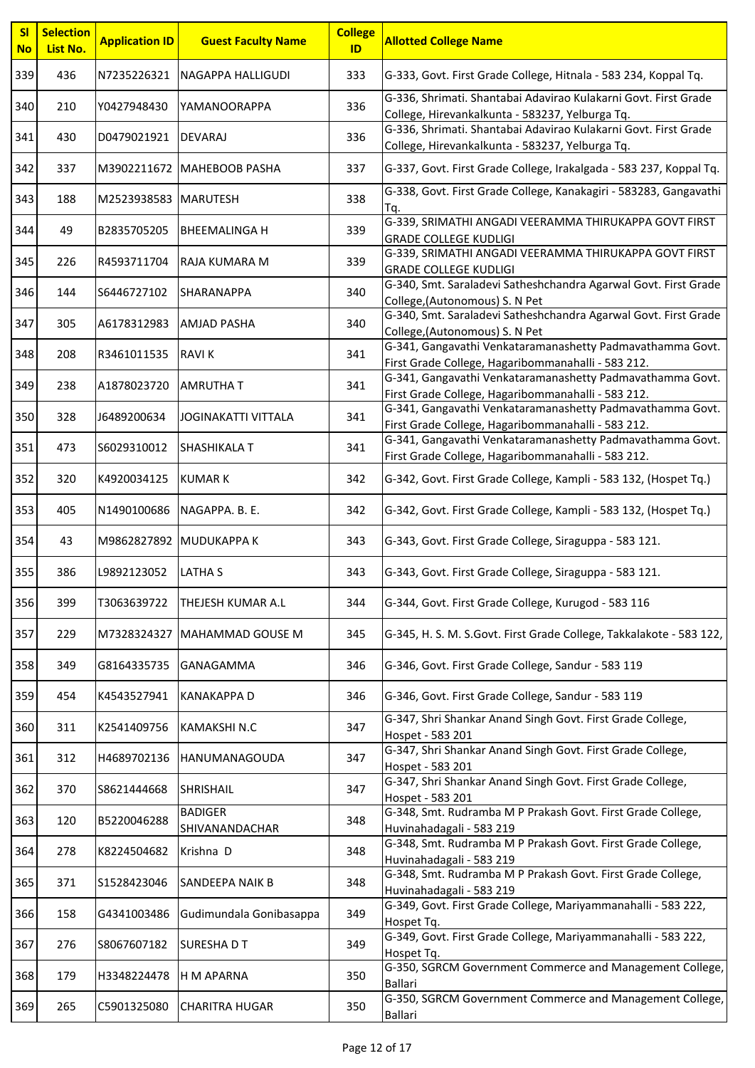| <b>SI</b><br><b>No</b> | <b>Selection</b><br>List No. | <b>Application ID</b> | <b>Guest Faculty Name</b>        | <b>College</b><br>ID | <b>Allotted College Name</b>                                                                                       |
|------------------------|------------------------------|-----------------------|----------------------------------|----------------------|--------------------------------------------------------------------------------------------------------------------|
| 339                    | 436                          | N7235226321           | NAGAPPA HALLIGUDI                | 333                  | G-333, Govt. First Grade College, Hitnala - 583 234, Koppal Tq.                                                    |
| 340                    | 210                          | Y0427948430           | YAMANOORAPPA                     | 336                  | G-336, Shrimati. Shantabai Adavirao Kulakarni Govt. First Grade<br>College, Hirevankalkunta - 583237, Yelburga Tq. |
| 341                    | 430                          | D0479021921           | <b>DEVARAJ</b>                   | 336                  | G-336, Shrimati. Shantabai Adavirao Kulakarni Govt. First Grade<br>College, Hirevankalkunta - 583237, Yelburga Tq. |
| 342                    | 337                          | M3902211672           | <b>MAHEBOOB PASHA</b>            | 337                  | G-337, Govt. First Grade College, Irakalgada - 583 237, Koppal Tq.                                                 |
| 343                    | 188                          | M2523938583           | <b>MARUTESH</b>                  | 338                  | G-338, Govt. First Grade College, Kanakagiri - 583283, Gangavathi<br>Tq.                                           |
| 344                    | 49                           | B2835705205           | <b>BHEEMALINGA H</b>             | 339                  | G-339, SRIMATHI ANGADI VEERAMMA THIRUKAPPA GOVT FIRST<br><b>GRADE COLLEGE KUDLIGI</b>                              |
| 345                    | 226                          | R4593711704           | RAJA KUMARA M                    | 339                  | G-339, SRIMATHI ANGADI VEERAMMA THIRUKAPPA GOVT FIRST<br><b>GRADE COLLEGE KUDLIGI</b>                              |
| 346                    | 144                          | S6446727102           | SHARANAPPA                       | 340                  | G-340, Smt. Saraladevi Satheshchandra Agarwal Govt. First Grade<br>College, (Autonomous) S. N Pet                  |
| 347                    | 305                          | A6178312983           | <b>AMJAD PASHA</b>               | 340                  | G-340, Smt. Saraladevi Satheshchandra Agarwal Govt. First Grade<br>College, (Autonomous) S. N Pet                  |
| 348                    | 208                          | R3461011535           | <b>RAVIK</b>                     | 341                  | G-341, Gangavathi Venkataramanashetty Padmavathamma Govt.<br>First Grade College, Hagaribommanahalli - 583 212.    |
| 349                    | 238                          | A1878023720           | <b>AMRUTHA T</b>                 | 341                  | G-341, Gangavathi Venkataramanashetty Padmavathamma Govt.<br>First Grade College, Hagaribommanahalli - 583 212.    |
| 350                    | 328                          | J6489200634           | JOGINAKATTI VITTALA              | 341                  | G-341, Gangavathi Venkataramanashetty Padmavathamma Govt.<br>First Grade College, Hagaribommanahalli - 583 212.    |
| 351                    | 473                          | S6029310012           | SHASHIKALA T                     | 341                  | G-341, Gangavathi Venkataramanashetty Padmavathamma Govt.<br>First Grade College, Hagaribommanahalli - 583 212.    |
| 352                    | 320                          | K4920034125           | <b>KUMAR K</b>                   | 342                  | G-342, Govt. First Grade College, Kampli - 583 132, (Hospet Tq.)                                                   |
| 353                    | 405                          | N1490100686           | NAGAPPA. B. E.                   | 342                  | G-342, Govt. First Grade College, Kampli - 583 132, (Hospet Tq.)                                                   |
| 354                    | 43                           | M9862827892           | <b>MUDUKAPPA K</b>               | 343                  | G-343, Govt. First Grade College, Siraguppa - 583 121.                                                             |
| 355                    | 386                          | L9892123052           | <b>LATHA S</b>                   | 343                  | G-343, Govt. First Grade College, Siraguppa - 583 121.                                                             |
| 356                    | 399                          | T3063639722           | THEJESH KUMAR A.L                | 344                  | G-344, Govt. First Grade College, Kurugod - 583 116                                                                |
| 357                    | 229                          | M7328324327           | MAHAMMAD GOUSE M                 | 345                  | G-345, H. S. M. S. Govt. First Grade College, Takkalakote - 583 122,                                               |
| 358                    | 349                          | G8164335735           | GANAGAMMA                        | 346                  | G-346, Govt. First Grade College, Sandur - 583 119                                                                 |
| 359                    | 454                          | K4543527941           | <b>KANAKAPPA D</b>               | 346                  | G-346, Govt. First Grade College, Sandur - 583 119                                                                 |
| 360                    | 311                          | K2541409756           | KAMAKSHI N.C                     | 347                  | G-347, Shri Shankar Anand Singh Govt. First Grade College,<br>Hospet - 583 201                                     |
| 361                    | 312                          | H4689702136           | HANUMANAGOUDA                    | 347                  | G-347, Shri Shankar Anand Singh Govt. First Grade College,<br>Hospet - 583 201                                     |
| 362                    | 370                          | S8621444668           | SHRISHAIL                        | 347                  | G-347, Shri Shankar Anand Singh Govt. First Grade College,<br>Hospet - 583 201                                     |
| 363                    | 120                          | B5220046288           | <b>BADIGER</b><br>SHIVANANDACHAR | 348                  | G-348, Smt. Rudramba M P Prakash Govt. First Grade College,<br>Huvinahadagali - 583 219                            |
| 364                    | 278                          | K8224504682           | Krishna D                        | 348                  | G-348, Smt. Rudramba M P Prakash Govt. First Grade College,<br>Huvinahadagali - 583 219                            |
| 365                    | 371                          | S1528423046           | SANDEEPA NAIK B                  | 348                  | G-348, Smt. Rudramba M P Prakash Govt. First Grade College,<br>Huvinahadagali - 583 219                            |
| 366                    | 158                          | G4341003486           | Gudimundala Gonibasappa          | 349                  | G-349, Govt. First Grade College, Mariyammanahalli - 583 222,<br>Hospet Tq.                                        |
| 367                    | 276                          | S8067607182           | SURESHA D T                      | 349                  | G-349, Govt. First Grade College, Mariyammanahalli - 583 222,<br>Hospet Tq.                                        |
| 368                    | 179                          | H3348224478           | H M APARNA                       | 350                  | G-350, SGRCM Government Commerce and Management College,<br>Ballari                                                |
| 369                    | 265                          | C5901325080           | <b>CHARITRA HUGAR</b>            | 350                  | G-350, SGRCM Government Commerce and Management College,<br><b>Ballari</b>                                         |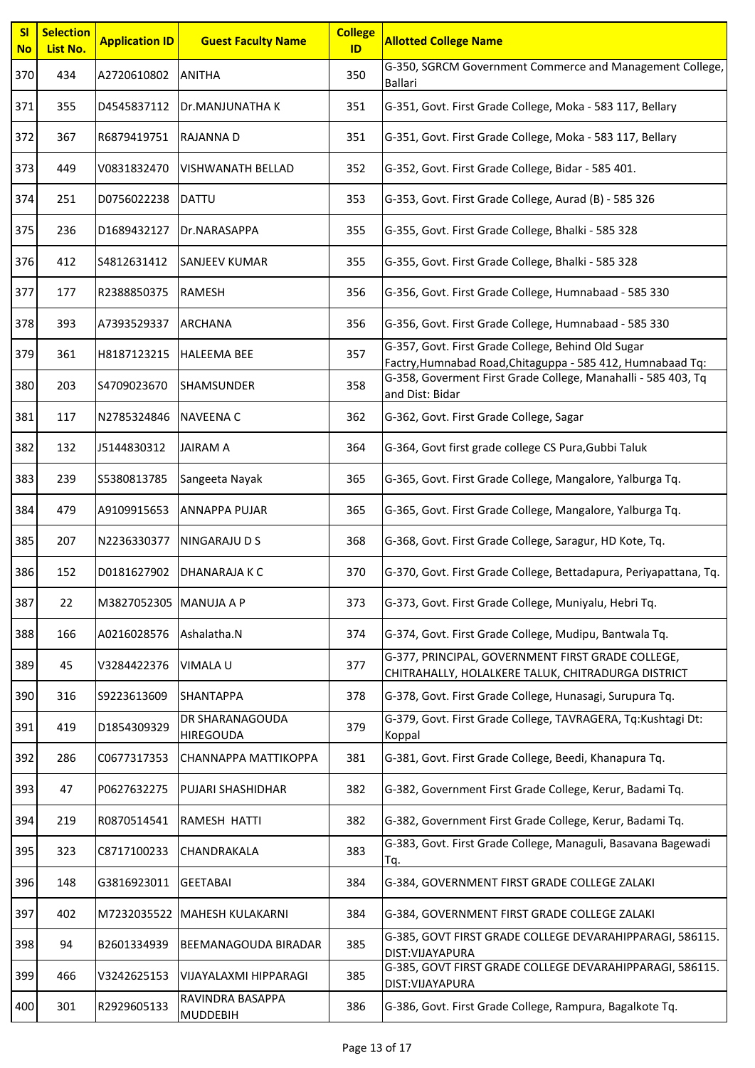| SI<br><b>No</b> | <b>Selection</b><br>List No. | <b>Application ID</b>  | <b>Guest Faculty Name</b>           | <b>College</b><br>ID | <b>Allotted College Name</b>                                                                                     |
|-----------------|------------------------------|------------------------|-------------------------------------|----------------------|------------------------------------------------------------------------------------------------------------------|
| 370             | 434                          | A2720610802            | <b>ANITHA</b>                       | 350                  | G-350, SGRCM Government Commerce and Management College,<br>Ballari                                              |
| 371             | 355                          | D4545837112            | Dr.MANJUNATHA K                     | 351                  | G-351, Govt. First Grade College, Moka - 583 117, Bellary                                                        |
| 372             | 367                          | R6879419751            | RAJANNA D                           | 351                  | G-351, Govt. First Grade College, Moka - 583 117, Bellary                                                        |
| 373             | 449                          | V0831832470            | <b>VISHWANATH BELLAD</b>            | 352                  | G-352, Govt. First Grade College, Bidar - 585 401.                                                               |
| 374             | 251                          | D0756022238            | <b>DATTU</b>                        | 353                  | G-353, Govt. First Grade College, Aurad (B) - 585 326                                                            |
| 375             | 236                          | D1689432127            | Dr.NARASAPPA                        | 355                  | G-355, Govt. First Grade College, Bhalki - 585 328                                                               |
| 376             | 412                          | S4812631412            | <b>SANJEEV KUMAR</b>                | 355                  | G-355, Govt. First Grade College, Bhalki - 585 328                                                               |
| 377             | 177                          | R2388850375            | <b>RAMESH</b>                       | 356                  | G-356, Govt. First Grade College, Humnabaad - 585 330                                                            |
| 378             | 393                          | A7393529337            | <b>ARCHANA</b>                      | 356                  | G-356, Govt. First Grade College, Humnabaad - 585 330                                                            |
| 379             | 361                          | H8187123215            | <b>HALEEMA BEE</b>                  | 357                  | G-357, Govt. First Grade College, Behind Old Sugar<br>Factry, Humnabad Road, Chitaguppa - 585 412, Humnabaad Tq: |
| 380             | 203                          | S4709023670            | <b>SHAMSUNDER</b>                   | 358                  | G-358, Goverment First Grade College, Manahalli - 585 403, Tq<br>and Dist: Bidar                                 |
| 381             | 117                          | N2785324846            | <b>NAVEENA C</b>                    | 362                  | G-362, Govt. First Grade College, Sagar                                                                          |
| 382             | 132                          | J5144830312            | <b>JAIRAM A</b>                     | 364                  | G-364, Govt first grade college CS Pura, Gubbi Taluk                                                             |
| 383             | 239                          | S5380813785            | Sangeeta Nayak                      | 365                  | G-365, Govt. First Grade College, Mangalore, Yalburga Tq.                                                        |
| 384             | 479                          | A9109915653            | <b>ANNAPPA PUJAR</b>                | 365                  | G-365, Govt. First Grade College, Mangalore, Yalburga Tq.                                                        |
| 385             | 207                          | N2236330377            | <b>NINGARAJU D S</b>                | 368                  | G-368, Govt. First Grade College, Saragur, HD Kote, Tq.                                                          |
| 386             | 152                          | D0181627902            | <b>DHANARAJA K C</b>                | 370                  | G-370, Govt. First Grade College, Bettadapura, Periyapattana, Tq.                                                |
| 387             | 22                           | M3827052305 MANUJA A P |                                     | 373                  | G-373, Govt. First Grade College, Muniyalu, Hebri Tq.                                                            |
| 388             | 166                          | A0216028576            | Ashalatha.N                         | 374                  | G-374, Govt. First Grade College, Mudipu, Bantwala Tq.                                                           |
| 389             | 45                           | V3284422376            | <b>VIMALA U</b>                     | 377                  | G-377, PRINCIPAL, GOVERNMENT FIRST GRADE COLLEGE,<br>CHITRAHALLY, HOLALKERE TALUK, CHITRADURGA DISTRICT          |
| 390             | 316                          | S9223613609            | <b>SHANTAPPA</b>                    | 378                  | G-378, Govt. First Grade College, Hunasagi, Surupura Tq.                                                         |
| 391             | 419                          | D1854309329            | DR SHARANAGOUDA<br>HIREGOUDA        | 379                  | G-379, Govt. First Grade College, TAVRAGERA, Tq:Kushtagi Dt:<br>Koppal                                           |
| 392             | 286                          | C0677317353            | CHANNAPPA MATTIKOPPA                | 381                  | G-381, Govt. First Grade College, Beedi, Khanapura Tq.                                                           |
| 393             | 47                           | P0627632275            | <b>PUJARI SHASHIDHAR</b>            | 382                  | G-382, Government First Grade College, Kerur, Badami Tq.                                                         |
| 394             | 219                          | R0870514541            | RAMESH HATTI                        | 382                  | G-382, Government First Grade College, Kerur, Badami Tq.                                                         |
| 395             | 323                          | C8717100233            | CHANDRAKALA                         | 383                  | G-383, Govt. First Grade College, Managuli, Basavana Bagewadi<br>Tq.                                             |
| 396             | 148                          | G3816923011            | <b>GEETABAI</b>                     | 384                  | G-384, GOVERNMENT FIRST GRADE COLLEGE ZALAKI                                                                     |
| 397             | 402                          | M7232035522            | MAHESH KULAKARNI                    | 384                  | G-384, GOVERNMENT FIRST GRADE COLLEGE ZALAKI                                                                     |
| 398             | 94                           | B2601334939            | BEEMANAGOUDA BIRADAR                | 385                  | G-385, GOVT FIRST GRADE COLLEGE DEVARAHIPPARAGI, 586115.<br>DIST: VIJAYAPURA                                     |
| 399             | 466                          | V3242625153            | VIJAYALAXMI HIPPARAGI               | 385                  | G-385, GOVT FIRST GRADE COLLEGE DEVARAHIPPARAGI, 586115.<br>DIST: VIJAYAPURA                                     |
| 400             | 301                          | R2929605133            | RAVINDRA BASAPPA<br><b>MUDDEBIH</b> | 386                  | G-386, Govt. First Grade College, Rampura, Bagalkote Tq.                                                         |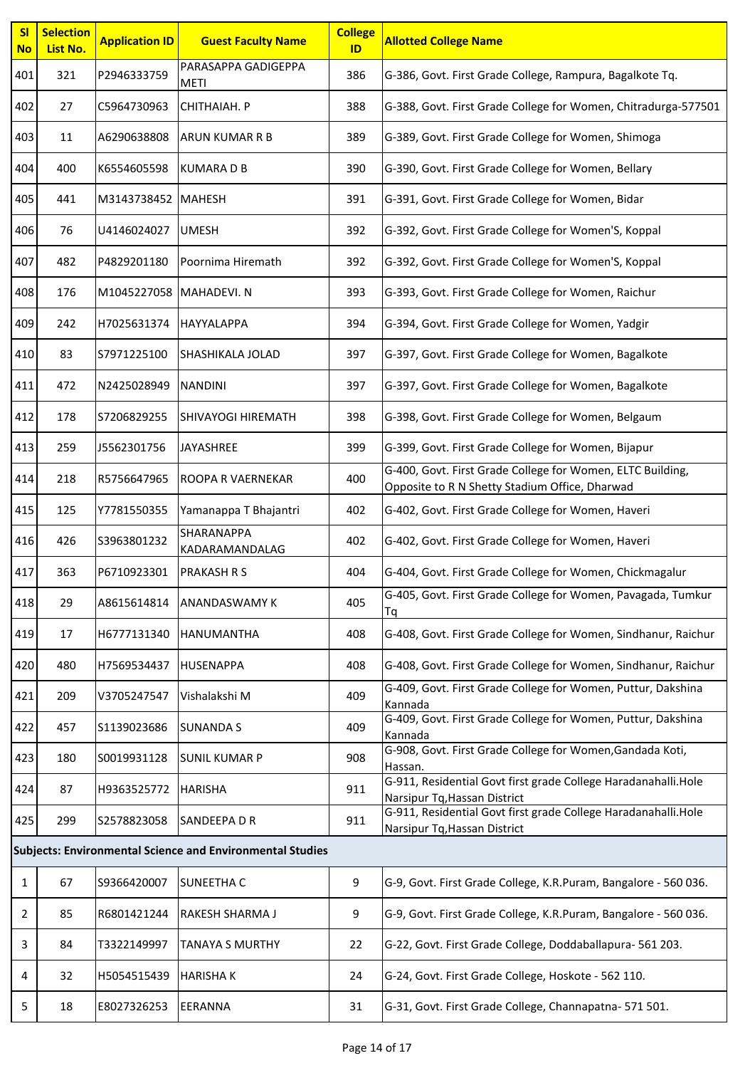| <b>SI</b><br><b>No</b> | <b>Selection</b><br>List No.                                     | <b>Application ID</b> | <b>Guest Faculty Name</b>          | <b>College</b><br>ID | <b>Allotted College Name</b>                                                                                 |  |
|------------------------|------------------------------------------------------------------|-----------------------|------------------------------------|----------------------|--------------------------------------------------------------------------------------------------------------|--|
| 401                    | 321                                                              | P2946333759           | PARASAPPA GADIGEPPA<br><b>METI</b> | 386                  | G-386, Govt. First Grade College, Rampura, Bagalkote Tq.                                                     |  |
| 402                    | 27                                                               | C5964730963           | CHITHAIAH. P                       | 388                  | G-388, Govt. First Grade College for Women, Chitradurga-577501                                               |  |
| 403                    | 11                                                               | A6290638808           | <b>ARUN KUMAR R B</b>              | 389                  | G-389, Govt. First Grade College for Women, Shimoga                                                          |  |
| 404                    | 400                                                              | K6554605598           | <b>KUMARADB</b>                    | 390                  | G-390, Govt. First Grade College for Women, Bellary                                                          |  |
| 405                    | 441                                                              | M3143738452 MAHESH    |                                    | 391                  | G-391, Govt. First Grade College for Women, Bidar                                                            |  |
| 406                    | 76                                                               | U4146024027           | <b>UMESH</b>                       | 392                  | G-392, Govt. First Grade College for Women'S, Koppal                                                         |  |
| 407                    | 482                                                              | P4829201180           | Poornima Hiremath                  | 392                  | G-392, Govt. First Grade College for Women'S, Koppal                                                         |  |
| 408                    | 176                                                              | M1045227058           | MAHADEVI.N                         | 393                  | G-393, Govt. First Grade College for Women, Raichur                                                          |  |
| 409                    | 242                                                              | H7025631374           | <b>HAYYALAPPA</b>                  | 394                  | G-394, Govt. First Grade College for Women, Yadgir                                                           |  |
| 410                    | 83                                                               | S7971225100           | <b>SHASHIKALA JOLAD</b>            | 397                  | G-397, Govt. First Grade College for Women, Bagalkote                                                        |  |
| 411                    | 472                                                              | N2425028949           | <b>NANDINI</b>                     | 397                  | G-397, Govt. First Grade College for Women, Bagalkote                                                        |  |
| 412                    | 178                                                              | S7206829255           | SHIVAYOGI HIREMATH                 | 398                  | G-398, Govt. First Grade College for Women, Belgaum                                                          |  |
| 413                    | 259                                                              | J5562301756           | JAYASHREE                          | 399                  | G-399, Govt. First Grade College for Women, Bijapur                                                          |  |
| 414                    | 218                                                              | R5756647965           | ROOPA R VAERNEKAR                  | 400                  | G-400, Govt. First Grade College for Women, ELTC Building,<br>Opposite to R N Shetty Stadium Office, Dharwad |  |
| 415                    | 125                                                              | Y7781550355           | Yamanappa T Bhajantri              | 402                  | G-402, Govt. First Grade College for Women, Haveri                                                           |  |
| 416                    | 426                                                              | S3963801232           | SHARANAPPA<br>KADARAMANDALAG       | 402                  | G-402, Govt. First Grade College for Women, Haveri                                                           |  |
| 417                    | 363                                                              | P6710923301           | <b>PRAKASH R S</b>                 | 404                  | G-404, Govt. First Grade College for Women, Chickmagalur                                                     |  |
| 418                    | 29                                                               | A8615614814           | <b>ANANDASWAMY K</b>               | 405                  | G-405, Govt. First Grade College for Women, Pavagada, Tumkur<br>Тq                                           |  |
| 419                    | 17                                                               | H6777131340           | <b>HANUMANTHA</b>                  | 408                  | G-408, Govt. First Grade College for Women, Sindhanur, Raichur                                               |  |
| 420                    | 480                                                              | H7569534437           | <b>HUSENAPPA</b>                   | 408                  | G-408, Govt. First Grade College for Women, Sindhanur, Raichur                                               |  |
| 421                    | 209                                                              | V3705247547           | Vishalakshi M                      | 409                  | G-409, Govt. First Grade College for Women, Puttur, Dakshina<br>Kannada                                      |  |
| 422                    | 457                                                              | \$1139023686          | <b>SUNANDA S</b>                   | 409                  | G-409, Govt. First Grade College for Women, Puttur, Dakshina<br>Kannada                                      |  |
| 423                    | 180                                                              | S0019931128           | <b>SUNIL KUMAR P</b>               | 908                  | G-908, Govt. First Grade College for Women, Gandada Koti,<br>Hassan.                                         |  |
| 424                    | 87                                                               | H9363525772           | <b>HARISHA</b>                     | 911                  | G-911, Residential Govt first grade College Haradanahalli.Hole<br>Narsipur Tq, Hassan District               |  |
| 425                    | 299                                                              | S2578823058           | SANDEEPA D R                       | 911                  | G-911, Residential Govt first grade College Haradanahalli.Hole<br>Narsipur Tq, Hassan District               |  |
|                        | <b>Subjects: Environmental Science and Environmental Studies</b> |                       |                                    |                      |                                                                                                              |  |
| $\mathbf{1}$           | 67                                                               | S9366420007           | <b>SUNEETHA C</b>                  | 9                    | G-9, Govt. First Grade College, K.R.Puram, Bangalore - 560 036.                                              |  |
| 2                      | 85                                                               | R6801421244           | RAKESH SHARMA J                    | 9                    | G-9, Govt. First Grade College, K.R.Puram, Bangalore - 560 036.                                              |  |
| 3                      | 84                                                               | T3322149997           | <b>TANAYA S MURTHY</b>             | 22                   | G-22, Govt. First Grade College, Doddaballapura- 561 203.                                                    |  |
| 4                      | 32                                                               | H5054515439           | <b>HARISHAK</b>                    | 24                   | G-24, Govt. First Grade College, Hoskote - 562 110.                                                          |  |
| 5                      | 18                                                               | E8027326253           | <b>EERANNA</b>                     | 31                   | G-31, Govt. First Grade College, Channapatna- 571 501.                                                       |  |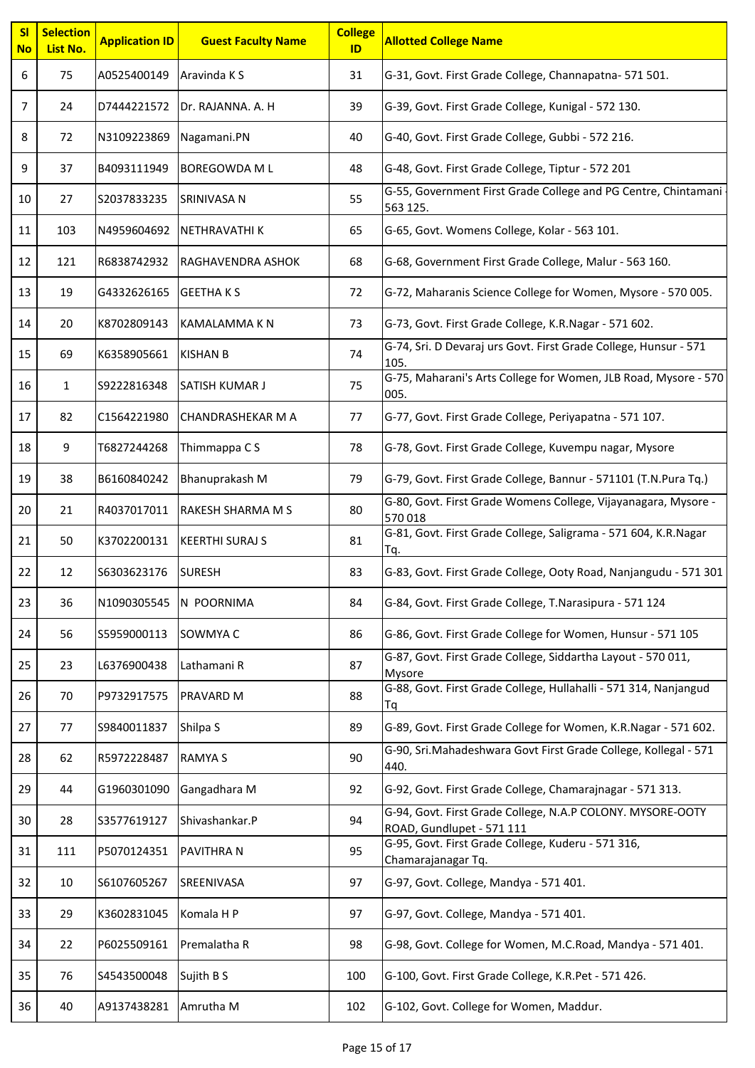| SI<br><b>No</b> | <b>Selection</b><br>List No. | <b>Application ID</b> | <b>Guest Faculty Name</b> | <b>College</b><br>ID | <b>Allotted College Name</b>                                                            |
|-----------------|------------------------------|-----------------------|---------------------------|----------------------|-----------------------------------------------------------------------------------------|
| 6               | 75                           | A0525400149           | Aravinda K S              | 31                   | G-31, Govt. First Grade College, Channapatna- 571 501.                                  |
| 7               | 24                           | D7444221572           | Dr. RAJANNA. A. H         | 39                   | G-39, Govt. First Grade College, Kunigal - 572 130.                                     |
| 8               | 72                           | N3109223869           | Nagamani.PN               | 40                   | G-40, Govt. First Grade College, Gubbi - 572 216.                                       |
| 9               | 37                           | B4093111949           | <b>BOREGOWDA M L</b>      | 48                   | G-48, Govt. First Grade College, Tiptur - 572 201                                       |
| 10              | 27                           | S2037833235           | SRINIVASA N               | 55                   | G-55, Government First Grade College and PG Centre, Chintamani<br>563 125.              |
| 11              | 103                          | N4959604692           | NETHRAVATHI K             | 65                   | G-65, Govt. Womens College, Kolar - 563 101.                                            |
| 12              | 121                          | R6838742932           | RAGHAVENDRA ASHOK         | 68                   | G-68, Government First Grade College, Malur - 563 160.                                  |
| 13              | 19                           | G4332626165           | <b>GEETHAKS</b>           | 72                   | G-72, Maharanis Science College for Women, Mysore - 570 005.                            |
| 14              | 20                           | K8702809143           | <b>KAMALAMMAKN</b>        | 73                   | G-73, Govt. First Grade College, K.R.Nagar - 571 602.                                   |
| 15              | 69                           | K6358905661           | <b>KISHAN B</b>           | 74                   | G-74, Sri. D Devaraj urs Govt. First Grade College, Hunsur - 571<br>105.                |
| 16              | $\mathbf{1}$                 | S9222816348           | <b>SATISH KUMAR J</b>     | 75                   | G-75, Maharani's Arts College for Women, JLB Road, Mysore - 570<br>005.                 |
| 17              | 82                           | C1564221980           | <b>CHANDRASHEKAR M A</b>  | 77                   | G-77, Govt. First Grade College, Periyapatna - 571 107.                                 |
| 18              | 9                            | T6827244268           | Thimmappa C S             | 78                   | G-78, Govt. First Grade College, Kuvempu nagar, Mysore                                  |
| 19              | 38                           | B6160840242           | Bhanuprakash M            | 79                   | G-79, Govt. First Grade College, Bannur - 571101 (T.N.Pura Tq.)                         |
| 20              | 21                           | R4037017011           | <b>RAKESH SHARMA M S</b>  | 80                   | G-80, Govt. First Grade Womens College, Vijayanagara, Mysore -<br>570018                |
| 21              | 50                           | K3702200131           | <b>KEERTHI SURAJ S</b>    | 81                   | G-81, Govt. First Grade College, Saligrama - 571 604, K.R.Nagar<br>Tq.                  |
| 22              | 12                           | S6303623176           | <b>SURESH</b>             | 83                   | G-83, Govt. First Grade College, Ooty Road, Nanjangudu - 571 301                        |
| 23              | 36                           | N1090305545           | N POORNIMA                | 84                   | G-84, Govt. First Grade College, T.Narasipura - 571 124                                 |
| 24              | 56                           | S5959000113           | SOWMYA C                  | 86                   | G-86, Govt. First Grade College for Women, Hunsur - 571 105                             |
| 25              | 23                           | L6376900438           | Lathamani R               | 87                   | G-87, Govt. First Grade College, Siddartha Layout - 570 011,<br>Mysore                  |
| 26              | 70                           | P9732917575           | <b>PRAVARD M</b>          | 88                   | G-88, Govt. First Grade College, Hullahalli - 571 314, Nanjangud<br>Тq                  |
| 27              | 77                           | S9840011837           | Shilpa S                  | 89                   | G-89, Govt. First Grade College for Women, K.R.Nagar - 571 602.                         |
| 28              | 62                           | R5972228487           | <b>RAMYA S</b>            | 90                   | G-90, Sri.Mahadeshwara Govt First Grade College, Kollegal - 571<br>440.                 |
| 29              | 44                           | G1960301090           | Gangadhara M              | 92                   | G-92, Govt. First Grade College, Chamarajnagar - 571 313.                               |
| 30              | 28                           | S3577619127           | Shivashankar.P            | 94                   | G-94, Govt. First Grade College, N.A.P COLONY. MYSORE-OOTY<br>ROAD, Gundlupet - 571 111 |
| 31              | 111                          | P5070124351           | <b>PAVITHRA N</b>         | 95                   | G-95, Govt. First Grade College, Kuderu - 571 316,<br>Chamarajanagar Tq.                |
| 32              | 10                           | S6107605267           | SREENIVASA                | 97                   | G-97, Govt. College, Mandya - 571 401.                                                  |
| 33              | 29                           | K3602831045           | Komala H P                | 97                   | G-97, Govt. College, Mandya - 571 401.                                                  |
| 34              | 22                           | P6025509161           | Premalatha R              | 98                   | G-98, Govt. College for Women, M.C.Road, Mandya - 571 401.                              |
| 35              | 76                           | S4543500048           | Sujith B S                | 100                  | G-100, Govt. First Grade College, K.R.Pet - 571 426.                                    |
| 36              | 40                           | A9137438281           | Amrutha M                 | 102                  | G-102, Govt. College for Women, Maddur.                                                 |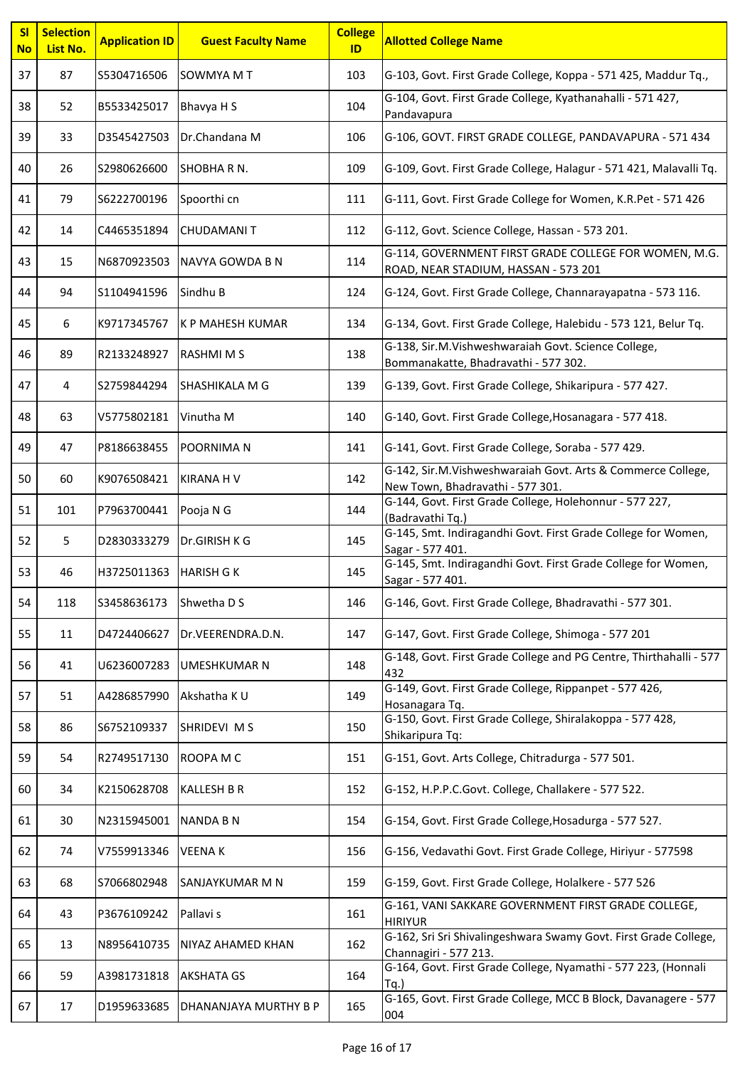| <b>SI</b><br><b>No</b> | <b>Selection</b><br>List No. | <b>Application ID</b> | <b>Guest Faculty Name</b> | <b>College</b><br>ID | <b>Allotted College Name</b>                                                                    |
|------------------------|------------------------------|-----------------------|---------------------------|----------------------|-------------------------------------------------------------------------------------------------|
| 37                     | 87                           | S5304716506           | SOWMYA M T                | 103                  | G-103, Govt. First Grade College, Koppa - 571 425, Maddur Tq.,                                  |
| 38                     | 52                           | B5533425017           | Bhavya H S                | 104                  | G-104, Govt. First Grade College, Kyathanahalli - 571 427,<br>Pandavapura                       |
| 39                     | 33                           | D3545427503           | Dr.Chandana M             | 106                  | G-106, GOVT. FIRST GRADE COLLEGE, PANDAVAPURA - 571 434                                         |
| 40                     | 26                           | S2980626600           | SHOBHARN.                 | 109                  | G-109, Govt. First Grade College, Halagur - 571 421, Malavalli Tq.                              |
| 41                     | 79                           | S6222700196           | Spoorthi cn               | 111                  | G-111, Govt. First Grade College for Women, K.R.Pet - 571 426                                   |
| 42                     | 14                           | C4465351894           | <b>CHUDAMANIT</b>         | 112                  | G-112, Govt. Science College, Hassan - 573 201.                                                 |
| 43                     | 15                           | N6870923503           | NAVYA GOWDA B N           | 114                  | G-114, GOVERNMENT FIRST GRADE COLLEGE FOR WOMEN, M.G.<br>ROAD, NEAR STADIUM, HASSAN - 573 201   |
| 44                     | 94                           | S1104941596           | Sindhu B                  | 124                  | G-124, Govt. First Grade College, Channarayapatna - 573 116.                                    |
| 45                     | 6                            | K9717345767           | <b>K P MAHESH KUMAR</b>   | 134                  | G-134, Govt. First Grade College, Halebidu - 573 121, Belur Tq.                                 |
| 46                     | 89                           | R2133248927           | <b>RASHMIMS</b>           | 138                  | G-138, Sir.M.Vishweshwaraiah Govt. Science College,<br>Bommanakatte, Bhadravathi - 577 302.     |
| 47                     | 4                            | S2759844294           | SHASHIKALA M G            | 139                  | G-139, Govt. First Grade College, Shikaripura - 577 427.                                        |
| 48                     | 63                           | V5775802181           | Vinutha M                 | 140                  | G-140, Govt. First Grade College, Hosanagara - 577 418.                                         |
| 49                     | 47                           | P8186638455           | POORNIMA N                | 141                  | G-141, Govt. First Grade College, Soraba - 577 429.                                             |
| 50                     | 60                           | K9076508421           | <b>KIRANA H V</b>         | 142                  | G-142, Sir.M.Vishweshwaraiah Govt. Arts & Commerce College,<br>New Town, Bhadravathi - 577 301. |
| 51                     | 101                          | P7963700441           | Pooja N G                 | 144                  | G-144, Govt. First Grade College, Holehonnur - 577 227,<br>(Badravathi Tq.)                     |
| 52                     | 5                            | D2830333279           | Dr.GIRISH K G             | 145                  | G-145, Smt. Indiragandhi Govt. First Grade College for Women,<br>Sagar - 577 401.               |
| 53                     | 46                           | H3725011363           | <b>HARISH GK</b>          | 145                  | G-145, Smt. Indiragandhi Govt. First Grade College for Women,<br>Sagar - 577 401.               |
| 54                     | 118                          | S3458636173           | Shwetha D S               | 146                  | G-146, Govt. First Grade College, Bhadravathi - 577 301.                                        |
| 55                     | 11                           | D4724406627           | Dr.VEERENDRA.D.N.         | 147                  | G-147, Govt. First Grade College, Shimoga - 577 201                                             |
| 56                     | 41                           | U6236007283           | <b>UMESHKUMAR N</b>       | 148                  | G-148, Govt. First Grade College and PG Centre, Thirthahalli - 577<br>432                       |
| 57                     | 51                           | A4286857990           | Akshatha K U              | 149                  | G-149, Govt. First Grade College, Rippanpet - 577 426,<br>Hosanagara Tq.                        |
| 58                     | 86                           | S6752109337           | SHRIDEVI M S              | 150                  | G-150, Govt. First Grade College, Shiralakoppa - 577 428,<br>Shikaripura Tq:                    |
| 59                     | 54                           | R2749517130           | ROOPA M C                 | 151                  | G-151, Govt. Arts College, Chitradurga - 577 501.                                               |
| 60                     | 34                           | K2150628708           | <b>KALLESH B R</b>        | 152                  | G-152, H.P.P.C.Govt. College, Challakere - 577 522.                                             |
| 61                     | 30                           | N2315945001           | <b>NANDA B N</b>          | 154                  | G-154, Govt. First Grade College, Hosadurga - 577 527.                                          |
| 62                     | 74                           | V7559913346           | <b>VEENAK</b>             | 156                  | G-156, Vedavathi Govt. First Grade College, Hiriyur - 577598                                    |
| 63                     | 68                           | S7066802948           | SANJAYKUMAR M N           | 159                  | G-159, Govt. First Grade College, Holalkere - 577 526                                           |
| 64                     | 43                           | P3676109242           | Pallavi s                 | 161                  | G-161, VANI SAKKARE GOVERNMENT FIRST GRADE COLLEGE,<br><b>HIRIYUR</b>                           |
| 65                     | 13                           | N8956410735           | NIYAZ AHAMED KHAN         | 162                  | G-162, Sri Sri Shivalingeshwara Swamy Govt. First Grade College,<br>Channagiri - 577 213.       |
| 66                     | 59                           | A3981731818           | <b>AKSHATA GS</b>         | 164                  | G-164, Govt. First Grade College, Nyamathi - 577 223, (Honnali<br>Tq.                           |
| 67                     | 17                           | D1959633685           | DHANANJAYA MURTHY B P     | 165                  | G-165, Govt. First Grade College, MCC B Block, Davanagere - 577<br>004                          |